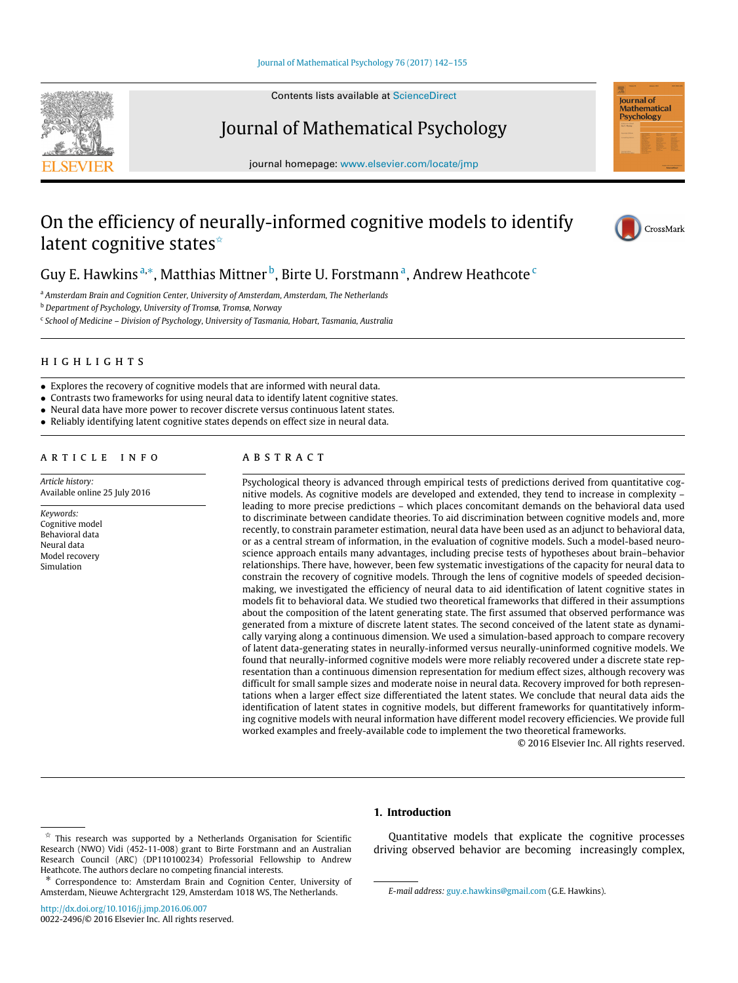## [Journal of Mathematical Psychology 76 \(2017\) 142–155](http://dx.doi.org/10.1016/j.jmp.2016.06.007)

Contents lists available at [ScienceDirect](http://www.elsevier.com/locate/jmp)

# Journal of Mathematical Psychology

journal homepage: [www.elsevier.com/locate/jmp](http://www.elsevier.com/locate/jmp)

# On the efficiency of neurally-informed cognitive models to identify latent cognitive states $\dot{a}$

Guy E. Hawkins ª,\*, Matthias Mittner <sup>[b](#page-0-3)</sup>, Birte U. Forstm[a](#page-0-1)nn ª, Andrew Heath[c](#page-0-4)ote <sup>c</sup>

<span id="page-0-1"></span><sup>a</sup> *Amsterdam Brain and Cognition Center, University of Amsterdam, Amsterdam, The Netherlands*

<span id="page-0-3"></span><sup>b</sup> *Department of Psychology, University of Tromsø, Tromsø, Norway*

<span id="page-0-4"></span><sup>c</sup> School of Medicine – Division of Psychology, University of Tasmania, Hobart, Tasmania, Australia

## h i g h l i g h t s

- Explores the recovery of cognitive models that are informed with neural data.
- Contrasts two frameworks for using neural data to identify latent cognitive states.
- Neural data have more power to recover discrete versus continuous latent states.
- Reliably identifying latent cognitive states depends on effect size in neural data.

#### ARTICLE INFO

*Article history:* Available online 25 July 2016

*Keywords:* Cognitive model Behavioral data Neural data Model recovery Simulation

## a b s t r a c t

Psychological theory is advanced through empirical tests of predictions derived from quantitative cognitive models. As cognitive models are developed and extended, they tend to increase in complexity – leading to more precise predictions – which places concomitant demands on the behavioral data used to discriminate between candidate theories. To aid discrimination between cognitive models and, more recently, to constrain parameter estimation, neural data have been used as an adjunct to behavioral data, or as a central stream of information, in the evaluation of cognitive models. Such a model-based neuroscience approach entails many advantages, including precise tests of hypotheses about brain–behavior relationships. There have, however, been few systematic investigations of the capacity for neural data to constrain the recovery of cognitive models. Through the lens of cognitive models of speeded decisionmaking, we investigated the efficiency of neural data to aid identification of latent cognitive states in models fit to behavioral data. We studied two theoretical frameworks that differed in their assumptions about the composition of the latent generating state. The first assumed that observed performance was generated from a mixture of discrete latent states. The second conceived of the latent state as dynamically varying along a continuous dimension. We used a simulation-based approach to compare recovery of latent data-generating states in neurally-informed versus neurally-uninformed cognitive models. We found that neurally-informed cognitive models were more reliably recovered under a discrete state representation than a continuous dimension representation for medium effect sizes, although recovery was difficult for small sample sizes and moderate noise in neural data. Recovery improved for both representations when a larger effect size differentiated the latent states. We conclude that neural data aids the identification of latent states in cognitive models, but different frameworks for quantitatively informing cognitive models with neural information have different model recovery efficiencies. We provide full worked examples and freely-available code to implement the two theoretical frameworks.

© 2016 Elsevier Inc. All rights reserved.

#### **1. Introduction**

Quantitative models that explicate the cognitive processes driving observed behavior are becoming increasingly complex,

## *E-mail address:* [guy.e.hawkins@gmail.com](mailto:guy.e.hawkins@gmail.com) (G.E. Hawkins).



**lournal** of Mathematical **Psychology** 

<span id="page-0-0"></span> $\boldsymbol{\dot{\times}}$  This research was supported by a Netherlands Organisation for Scientific Research (NWO) Vidi (452-11-008) grant to Birte Forstmann and an Australian Research Council (ARC) (DP110100234) Professorial Fellowship to Andrew Heathcote. The authors declare no competing financial interests. ∗ Correspondence to: Amsterdam Brain and Cognition Center, University of

<span id="page-0-2"></span>Amsterdam, Nieuwe Achtergracht 129, Amsterdam 1018 WS, The Netherlands.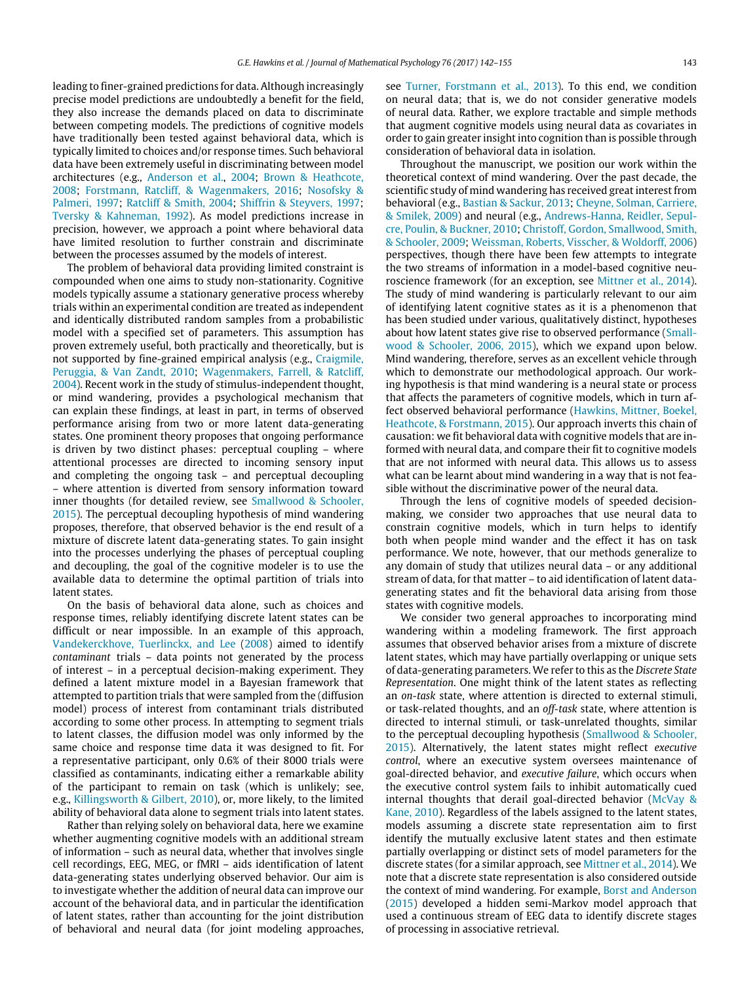leading to finer-grained predictions for data. Although increasingly precise model predictions are undoubtedly a benefit for the field, they also increase the demands placed on data to discriminate between competing models. The predictions of cognitive models have traditionally been tested against behavioral data, which is typically limited to choices and/or response times. Such behavioral data have been extremely useful in discriminating between model architectures (e.g., [Anderson](#page-12-0) [et al.,](#page-12-0) [2004;](#page-12-0) [Brown](#page-12-1) [&](#page-12-1) [Heathcote,](#page-12-1) [2008;](#page-12-1) [Forstmann,](#page-12-2) [Ratcliff,](#page-12-2) [&](#page-12-2) [Wagenmakers,](#page-12-2) [2016;](#page-12-2) [Nosofsky](#page-13-0) [&](#page-13-0) [Palmeri,](#page-13-0) [1997;](#page-13-0) [Ratcliff](#page-13-1) [&](#page-13-1) [Smith,](#page-13-1) [2004;](#page-13-1) [Shiffrin](#page-13-2) [&](#page-13-2) [Steyvers,](#page-13-2) [1997;](#page-13-2) [Tversky](#page-13-3) [&](#page-13-3) [Kahneman,](#page-13-3) [1992\)](#page-13-3). As model predictions increase in precision, however, we approach a point where behavioral data have limited resolution to further constrain and discriminate between the processes assumed by the models of interest.

The problem of behavioral data providing limited constraint is compounded when one aims to study non-stationarity. Cognitive models typically assume a stationary generative process whereby trials within an experimental condition are treated as independent and identically distributed random samples from a probabilistic model with a specified set of parameters. This assumption has proven extremely useful, both practically and theoretically, but is not supported by fine-grained empirical analysis (e.g., [Craigmile,](#page-12-3) [Peruggia,](#page-12-3) [&](#page-12-3) [Van](#page-12-3) [Zandt,](#page-12-3) [2010;](#page-12-3) [Wagenmakers,](#page-13-4) [Farrell,](#page-13-4) [&](#page-13-4) [Ratcliff,](#page-13-4) [2004\)](#page-13-4). Recent work in the study of stimulus-independent thought, or mind wandering, provides a psychological mechanism that can explain these findings, at least in part, in terms of observed performance arising from two or more latent data-generating states. One prominent theory proposes that ongoing performance is driven by two distinct phases: perceptual coupling – where attentional processes are directed to incoming sensory input and completing the ongoing task – and perceptual decoupling – where attention is diverted from sensory information toward inner thoughts (for detailed review, see [Smallwood](#page-13-5) [&](#page-13-5) [Schooler,](#page-13-5) [2015\)](#page-13-5). The perceptual decoupling hypothesis of mind wandering proposes, therefore, that observed behavior is the end result of a mixture of discrete latent data-generating states. To gain insight into the processes underlying the phases of perceptual coupling and decoupling, the goal of the cognitive modeler is to use the available data to determine the optimal partition of trials into latent states.

On the basis of behavioral data alone, such as choices and response times, reliably identifying discrete latent states can be difficult or near impossible. In an example of this approach, [Vandekerckhove,](#page-13-6) [Tuerlinckx,](#page-13-6) [and](#page-13-6) [Lee](#page-13-6) [\(2008\)](#page-13-6) aimed to identify *contaminant* trials – data points not generated by the process of interest – in a perceptual decision-making experiment. They defined a latent mixture model in a Bayesian framework that attempted to partition trials that were sampled from the (diffusion model) process of interest from contaminant trials distributed according to some other process. In attempting to segment trials to latent classes, the diffusion model was only informed by the same choice and response time data it was designed to fit. For a representative participant, only 0.6% of their 8000 trials were classified as contaminants, indicating either a remarkable ability of the participant to remain on task (which is unlikely; see, e.g., [Killingsworth](#page-13-7) [&](#page-13-7) [Gilbert,](#page-13-7) [2010\)](#page-13-7), or, more likely, to the limited ability of behavioral data alone to segment trials into latent states.

Rather than relying solely on behavioral data, here we examine whether augmenting cognitive models with an additional stream of information – such as neural data, whether that involves single cell recordings, EEG, MEG, or fMRI – aids identification of latent data-generating states underlying observed behavior. Our aim is to investigate whether the addition of neural data can improve our account of the behavioral data, and in particular the identification of latent states, rather than accounting for the joint distribution of behavioral and neural data (for joint modeling approaches, see [Turner,](#page-13-8) [Forstmann](#page-13-8) [et al.,](#page-13-8) [2013\)](#page-13-8). To this end, we condition on neural data; that is, we do not consider generative models of neural data. Rather, we explore tractable and simple methods that augment cognitive models using neural data as covariates in order to gain greater insight into cognition than is possible through consideration of behavioral data in isolation.

Throughout the manuscript, we position our work within the theoretical context of mind wandering. Over the past decade, the scientific study of mind wandering has received great interest from behavioral (e.g., [Bastian](#page-12-4) [&](#page-12-4) [Sackur,](#page-12-4) [2013;](#page-12-4) [Cheyne,](#page-12-5) [Solman,](#page-12-5) [Carriere,](#page-12-5) [&](#page-12-5) [Smilek,](#page-12-5) [2009\)](#page-12-5) and neural (e.g., [Andrews-Hanna,](#page-12-6) [Reidler,](#page-12-6) [Sepul](#page-12-6)[cre,](#page-12-6) [Poulin,](#page-12-6) [&](#page-12-6) [Buckner,](#page-12-6) [2010;](#page-12-6) [Christoff,](#page-12-7) [Gordon,](#page-12-7) [Smallwood,](#page-12-7) [Smith,](#page-12-7) [&](#page-12-7) [Schooler,](#page-12-7) [2009;](#page-12-7) [Weissman,](#page-13-9) [Roberts,](#page-13-9) [Visscher,](#page-13-9) [&](#page-13-9) [Woldorff,](#page-13-9) [2006\)](#page-13-9) perspectives, though there have been few attempts to integrate the two streams of information in a model-based cognitive neuroscience framework (for an exception, see [Mittner](#page-13-10) [et al.,](#page-13-10) [2014\)](#page-13-10). The study of mind wandering is particularly relevant to our aim of identifying latent cognitive states as it is a phenomenon that has been studied under various, qualitatively distinct, hypotheses [a](#page-13-11)bout how latent states give rise to observed performance [\(Small](#page-13-11)[wood](#page-13-11) [&](#page-13-11) [Schooler,](#page-13-11) [2006,](#page-13-11) [2015\)](#page-13-5), which we expand upon below. Mind wandering, therefore, serves as an excellent vehicle through which to demonstrate our methodological approach. Our working hypothesis is that mind wandering is a neural state or process that affects the parameters of cognitive models, which in turn affect observed behavioral performance [\(Hawkins,](#page-13-12) [Mittner,](#page-13-12) [Boekel,](#page-13-12) [Heathcote,](#page-13-12) [&](#page-13-12) [Forstmann,](#page-13-12) [2015\)](#page-13-12). Our approach inverts this chain of causation: we fit behavioral data with cognitive models that are informed with neural data, and compare their fit to cognitive models that are not informed with neural data. This allows us to assess what can be learnt about mind wandering in a way that is not feasible without the discriminative power of the neural data.

Through the lens of cognitive models of speeded decisionmaking, we consider two approaches that use neural data to constrain cognitive models, which in turn helps to identify both when people mind wander and the effect it has on task performance. We note, however, that our methods generalize to any domain of study that utilizes neural data – or any additional stream of data, for that matter – to aid identification of latent datagenerating states and fit the behavioral data arising from those states with cognitive models.

We consider two general approaches to incorporating mind wandering within a modeling framework. The first approach assumes that observed behavior arises from a mixture of discrete latent states, which may have partially overlapping or unique sets of data-generating parameters. We refer to this as the *Discrete State Representation*. One might think of the latent states as reflecting an *on-task* state, where attention is directed to external stimuli, or task-related thoughts, and an *off-task* state, where attention is directed to internal stimuli, or task-unrelated thoughts, similar to the perceptual decoupling hypothesis [\(Smallwood](#page-13-5) [&](#page-13-5) [Schooler,](#page-13-5) [2015\)](#page-13-5). Alternatively, the latent states might reflect *executive control*, where an executive system oversees maintenance of goal-directed behavior, and *executive failure*, which occurs when the executive control system fails to inhibit automatically cued internal thoughts that derail goal-directed behavior [\(McVay](#page-13-13) [&](#page-13-13) [Kane,](#page-13-13) [2010\)](#page-13-13). Regardless of the labels assigned to the latent states, models assuming a discrete state representation aim to first identify the mutually exclusive latent states and then estimate partially overlapping or distinct sets of model parameters for the discrete states (for a similar approach, see [Mittner](#page-13-10) [et al.,](#page-13-10) [2014\)](#page-13-10). We note that a discrete state representation is also considered outside the context of mind wandering. For example, [Borst](#page-12-8) [and](#page-12-8) [Anderson](#page-12-8) [\(2015\)](#page-12-8) developed a hidden semi-Markov model approach that used a continuous stream of EEG data to identify discrete stages of processing in associative retrieval.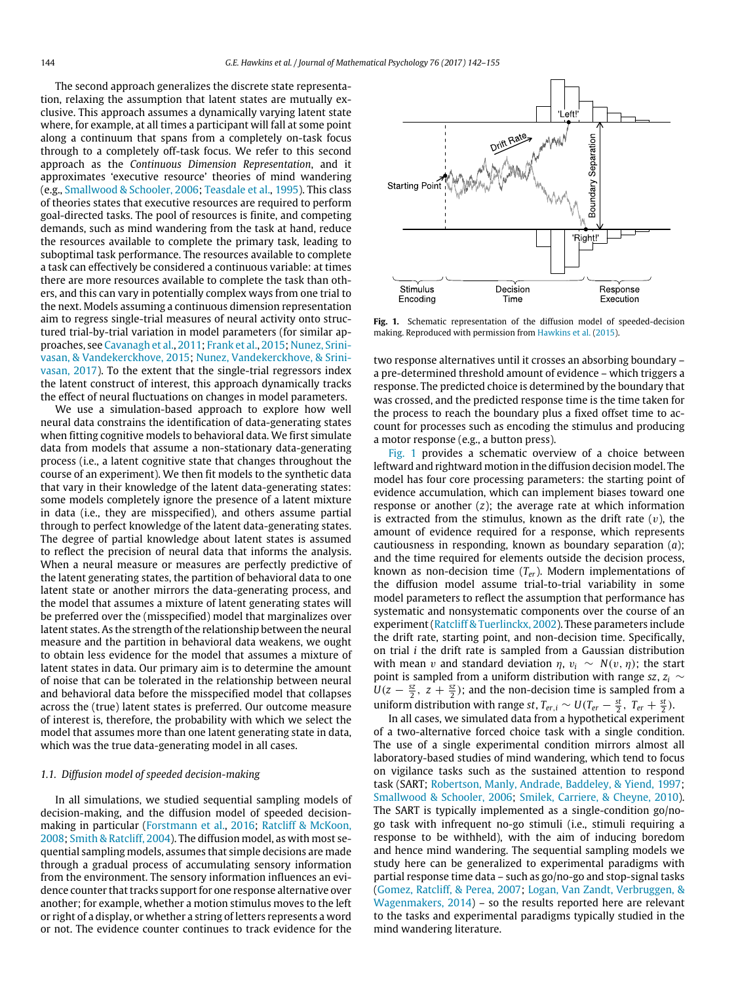The second approach generalizes the discrete state representation, relaxing the assumption that latent states are mutually exclusive. This approach assumes a dynamically varying latent state where, for example, at all times a participant will fall at some point along a continuum that spans from a completely on-task focus through to a completely off-task focus. We refer to this second approach as the *Continuous Dimension Representation*, and it approximates 'executive resource' theories of mind wandering (e.g., [Smallwood](#page-13-11) [&](#page-13-11) [Schooler,](#page-13-11) [2006;](#page-13-11) [Teasdale](#page-13-14) [et al.,](#page-13-14) [1995\)](#page-13-14). This class of theories states that executive resources are required to perform goal-directed tasks. The pool of resources is finite, and competing demands, such as mind wandering from the task at hand, reduce the resources available to complete the primary task, leading to suboptimal task performance. The resources available to complete a task can effectively be considered a continuous variable: at times there are more resources available to complete the task than others, and this can vary in potentially complex ways from one trial to the next. Models assuming a continuous dimension representation aim to regress single-trial measures of neural activity onto structured trial-by-trial variation in model parameters (for similar ap[p](#page-13-15)roaches, see [Cavanagh](#page-12-9) [et al.,](#page-12-9) [2011;](#page-12-9) [Frank](#page-12-10) [et al.,](#page-12-10) [2015;](#page-12-10) [Nunez,](#page-13-15) [Srini](#page-13-15)[vasan,](#page-13-15) [&](#page-13-15) [Vandekerckhove,](#page-13-15) [2015;](#page-13-15) [Nunez,](#page-13-16) [Vandekerckhove,](#page-13-16) [&](#page-13-16) [Srini](#page-13-16)[vasan,](#page-13-16) [2017\)](#page-13-16). To the extent that the single-trial regressors index the latent construct of interest, this approach dynamically tracks the effect of neural fluctuations on changes in model parameters.

We use a simulation-based approach to explore how well neural data constrains the identification of data-generating states when fitting cognitive models to behavioral data. We first simulate data from models that assume a non-stationary data-generating process (i.e., a latent cognitive state that changes throughout the course of an experiment). We then fit models to the synthetic data that vary in their knowledge of the latent data-generating states: some models completely ignore the presence of a latent mixture in data (i.e., they are misspecified), and others assume partial through to perfect knowledge of the latent data-generating states. The degree of partial knowledge about latent states is assumed to reflect the precision of neural data that informs the analysis. When a neural measure or measures are perfectly predictive of the latent generating states, the partition of behavioral data to one latent state or another mirrors the data-generating process, and the model that assumes a mixture of latent generating states will be preferred over the (misspecified) model that marginalizes over latent states. As the strength of the relationship between the neural measure and the partition in behavioral data weakens, we ought to obtain less evidence for the model that assumes a mixture of latent states in data. Our primary aim is to determine the amount of noise that can be tolerated in the relationship between neural and behavioral data before the misspecified model that collapses across the (true) latent states is preferred. Our outcome measure of interest is, therefore, the probability with which we select the model that assumes more than one latent generating state in data, which was the true data-generating model in all cases.

## *1.1. Diffusion model of speeded decision-making*

In all simulations, we studied sequential sampling models of decision-making, and the diffusion model of speeded decisionmaking in particular [\(Forstmann](#page-12-2) [et al.,](#page-12-2) [2016;](#page-12-2) [Ratcliff](#page-13-17) [&](#page-13-17) [McKoon,](#page-13-17) [2008;](#page-13-17) [Smith](#page-13-18) [&](#page-13-18) [Ratcliff,](#page-13-18) [2004\)](#page-13-18). The diffusion model, as with most sequential sampling models, assumes that simple decisions are made through a gradual process of accumulating sensory information from the environment. The sensory information influences an evidence counter that tracks support for one response alternative over another; for example, whether a motion stimulus moves to the left or right of a display, or whether a string of letters represents a word or not. The evidence counter continues to track evidence for the

<span id="page-2-0"></span>

**Fig. 1.** Schematic representation of the diffusion model of speeded-decision making. Reproduced with permission from [Hawkins](#page-13-12) [et al.](#page-13-12) [\(2015\)](#page-13-12).

two response alternatives until it crosses an absorbing boundary – a pre-determined threshold amount of evidence – which triggers a response. The predicted choice is determined by the boundary that was crossed, and the predicted response time is the time taken for the process to reach the boundary plus a fixed offset time to account for processes such as encoding the stimulus and producing a motor response (e.g., a button press).

[Fig. 1](#page-2-0) provides a schematic overview of a choice between leftward and rightward motion in the diffusion decision model. The model has four core processing parameters: the starting point of evidence accumulation, which can implement biases toward one response or another (*z*); the average rate at which information is extracted from the stimulus, known as the drift rate  $(v)$ , the amount of evidence required for a response, which represents cautiousness in responding, known as boundary separation (*a*); and the time required for elements outside the decision process, known as non-decision time (*Ter*). Modern implementations of the diffusion model assume trial-to-trial variability in some model parameters to reflect the assumption that performance has systematic and nonsystematic components over the course of an experiment [\(Ratcliff](#page-13-19) [&](#page-13-19) [Tuerlinckx,](#page-13-19) [2002\)](#page-13-19). These parameters include the drift rate, starting point, and non-decision time. Specifically, on trial *i* the drift rate is sampled from a Gaussian distribution with mean v and standard deviation  $\eta$ ,  $v_i \sim N(v, \eta)$ ; the start point is sampled from a uniform distribution with range *sz*, *z<sup>i</sup>* ∼  $U(z - \frac{sz}{2}, z + \frac{sz}{2})$ ; and the non-decision time is sampled from a uniform distribution with range *st*,  $T_{er,i} \sim U(T_{er} - \frac{st}{2}, T_{er} + \frac{st}{2})$ .

In all cases, we simulated data from a hypothetical experiment of a two-alternative forced choice task with a single condition. The use of a single experimental condition mirrors almost all laboratory-based studies of mind wandering, which tend to focus on vigilance tasks such as the sustained attention to respond task (SART; [Robertson,](#page-13-20) [Manly,](#page-13-20) [Andrade,](#page-13-20) [Baddeley,](#page-13-20) [&](#page-13-20) [Yiend,](#page-13-20) [1997;](#page-13-20) [Smallwood](#page-13-11) [&](#page-13-11) [Schooler,](#page-13-11) [2006;](#page-13-11) [Smilek,](#page-13-21) [Carriere,](#page-13-21) [&](#page-13-21) [Cheyne,](#page-13-21) [2010\)](#page-13-21). The SART is typically implemented as a single-condition go/nogo task with infrequent no-go stimuli (i.e., stimuli requiring a response to be withheld), with the aim of inducing boredom and hence mind wandering. The sequential sampling models we study here can be generalized to experimental paradigms with partial response time data – such as go/no-go and stop-signal tasks [\(Gomez,](#page-12-11) [Ratcliff,](#page-12-11) [&](#page-12-11) [Perea,](#page-12-11) [2007;](#page-12-11) [Logan,](#page-13-22) [Van](#page-13-22) [Zandt,](#page-13-22) [Verbruggen,](#page-13-22) [&](#page-13-22) [Wagenmakers,](#page-13-22) [2014\)](#page-13-22) – so the results reported here are relevant to the tasks and experimental paradigms typically studied in the mind wandering literature.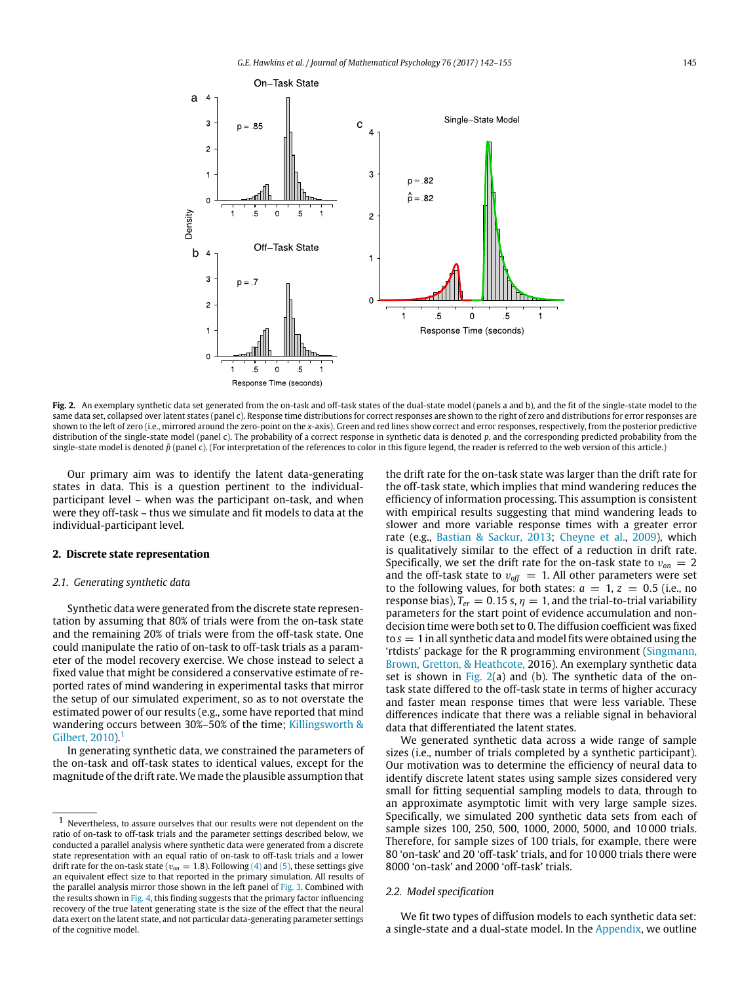<span id="page-3-1"></span>

Fig. 2. An exemplary synthetic data set generated from the on-task and off-task states of the dual-state model (panels a and b), and the fit of the single-state model to the same data set, collapsed over latent states (panel c). Response time distributions for correct responses are shown to the right of zero and distributions for error responses are shown to the left of zero (i.e., mirrored around the zero-point on the *x*-axis). Green and red lines show correct and error responses, respectively, from the posterior predictive distribution of the single-state model (panel c). The probability of a correct response in synthetic data is denoted *p*, and the corresponding predicted probability from the single-state model is denoted  $\hat{p}$  (panel c). (For interpretation of the references to color in this figure legend, the reader is referred to the web version of this article.)

Our primary aim was to identify the latent data-generating states in data. This is a question pertinent to the individualparticipant level – when was the participant on-task, and when were they off-task – thus we simulate and fit models to data at the individual-participant level.

## **2. Discrete state representation**

#### *2.1. Generating synthetic data*

Synthetic data were generated from the discrete state representation by assuming that 80% of trials were from the on-task state and the remaining 20% of trials were from the off-task state. One could manipulate the ratio of on-task to off-task trials as a parameter of the model recovery exercise. We chose instead to select a fixed value that might be considered a conservative estimate of reported rates of mind wandering in experimental tasks that mirror the setup of our simulated experiment, so as to not overstate the estimated power of our results (e.g., some have reported that mind wandering occurs between 30%–50% of the time; [Killingsworth](#page-13-7) [&](#page-13-7) [Gilbert,](#page-13-7) [2010\)](#page-13-7).<sup>[1](#page-3-0)</sup>

In generating synthetic data, we constrained the parameters of the on-task and off-task states to identical values, except for the magnitude of the drift rate. We made the plausible assumption that the drift rate for the on-task state was larger than the drift rate for the off-task state, which implies that mind wandering reduces the efficiency of information processing. This assumption is consistent with empirical results suggesting that mind wandering leads to slower and more variable response times with a greater error rate (e.g., [Bastian](#page-12-4) [&](#page-12-4) [Sackur,](#page-12-4) [2013;](#page-12-4) [Cheyne](#page-12-5) [et al.,](#page-12-5) [2009\)](#page-12-5), which is qualitatively similar to the effect of a reduction in drift rate. Specifically, we set the drift rate for the on-task state to  $v_{on} = 2$ and the off-task state to  $v_{\text{off}} = 1$ . All other parameters were set to the following values, for both states:  $a = 1$ ,  $z = 0.5$  (i.e., no response bias),  $T_{er} = 0.15$  s,  $\eta = 1$ , and the trial-to-trial variability parameters for the start point of evidence accumulation and nondecision time were both set to 0. The diffusion coefficient was fixed to *s* = 1 in all synthetic data and model fits were obtained using the 'rtdists' package for the R programming environment [\(Singmann,](#page-13-23) [Brown,](#page-13-23) [Gretton,](#page-13-23) [&](#page-13-23) [Heathcote,](#page-13-23) 2016). An exemplary synthetic data set is shown in [Fig. 2\(](#page-3-1)a) and (b). The synthetic data of the ontask state differed to the off-task state in terms of higher accuracy and faster mean response times that were less variable. These differences indicate that there was a reliable signal in behavioral data that differentiated the latent states.

We generated synthetic data across a wide range of sample sizes (i.e., number of trials completed by a synthetic participant). Our motivation was to determine the efficiency of neural data to identify discrete latent states using sample sizes considered very small for fitting sequential sampling models to data, through to an approximate asymptotic limit with very large sample sizes. Specifically, we simulated 200 synthetic data sets from each of sample sizes 100, 250, 500, 1000, 2000, 5000, and 10 000 trials. Therefore, for sample sizes of 100 trials, for example, there were 80 'on-task' and 20 'off-task' trials, and for 10 000 trials there were 8000 'on-task' and 2000 'off-task' trials.

## *2.2. Model specification*

We fit two types of diffusion models to each synthetic data set: a single-state and a dual-state model. In the [Appendix,](#page-10-0) we outline

<span id="page-3-0"></span><sup>1</sup> Nevertheless, to assure ourselves that our results were not dependent on the ratio of on-task to off-task trials and the parameter settings described below, we conducted a parallel analysis where synthetic data were generated from a discrete state representation with an equal ratio of on-task to off-task trials and a lower drift rate for the on-task state ( $v_{on} = 1.8$ ). Following [\(4\)](#page-7-0) and [\(5\),](#page-7-1) these settings give an equivalent effect size to that reported in the primary simulation. All results of the parallel analysis mirror those shown in the left panel of [Fig. 3.](#page-6-0) Combined with the results shown in [Fig. 4,](#page-9-0) this finding suggests that the primary factor influencing recovery of the true latent generating state is the size of the effect that the neural data exert on the latent state, and not particular data-generating parameter settings of the cognitive model.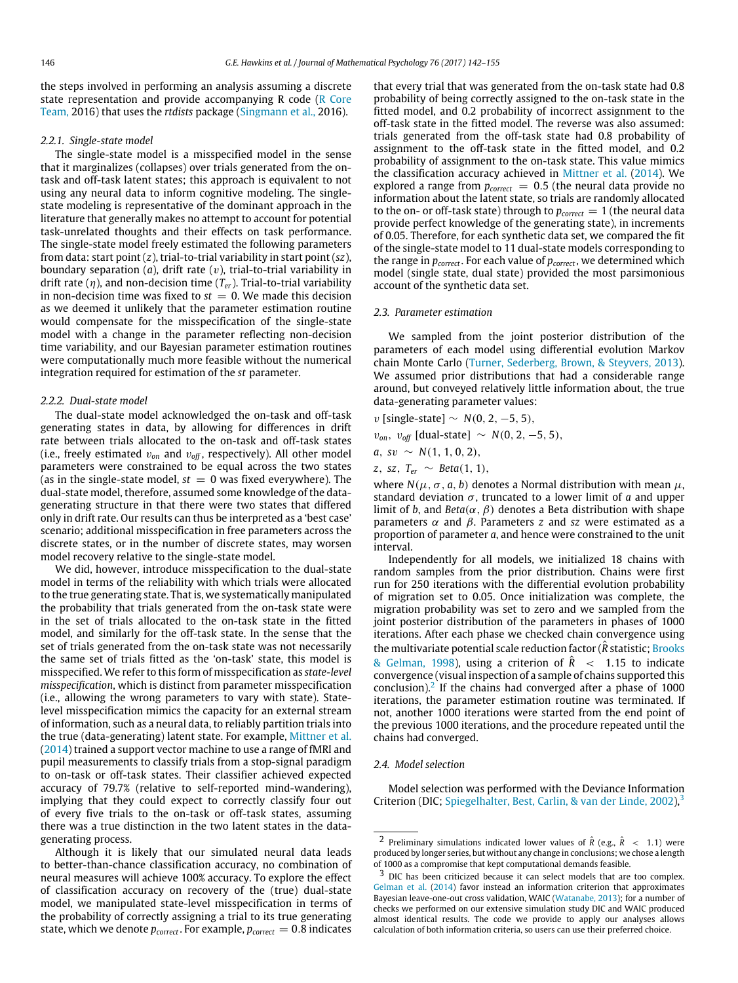the steps involved in performing an analysis assuming a discrete state representation and provide accompanying R code [\(R](#page-13-24) [Core](#page-13-24) [Team,](#page-13-24) 2016) that uses the *rtdists* package [\(Singmann](#page-13-23) [et al.,](#page-13-23) 2016).

## *2.2.1. Single-state model*

The single-state model is a misspecified model in the sense that it marginalizes (collapses) over trials generated from the ontask and off-task latent states; this approach is equivalent to not using any neural data to inform cognitive modeling. The singlestate modeling is representative of the dominant approach in the literature that generally makes no attempt to account for potential task-unrelated thoughts and their effects on task performance. The single-state model freely estimated the following parameters from data: start point (*z*), trial-to-trial variability in start point (*sz*), boundary separation  $(a)$ , drift rate  $(v)$ , trial-to-trial variability in drift rate (η), and non-decision time (*Ter*). Trial-to-trial variability in non-decision time was fixed to  $st = 0$ . We made this decision as we deemed it unlikely that the parameter estimation routine would compensate for the misspecification of the single-state model with a change in the parameter reflecting non-decision time variability, and our Bayesian parameter estimation routines were computationally much more feasible without the numerical integration required for estimation of the *st* parameter.

#### *2.2.2. Dual-state model*

The dual-state model acknowledged the on-task and off-task generating states in data, by allowing for differences in drift rate between trials allocated to the on-task and off-task states (i.e., freely estimated  $v_{on}$  and  $v_{off}$ , respectively). All other model parameters were constrained to be equal across the two states (as in the single-state model,  $st = 0$  was fixed everywhere). The dual-state model, therefore, assumed some knowledge of the datagenerating structure in that there were two states that differed only in drift rate. Our results can thus be interpreted as a 'best case' scenario; additional misspecification in free parameters across the discrete states, or in the number of discrete states, may worsen model recovery relative to the single-state model.

We did, however, introduce misspecification to the dual-state model in terms of the reliability with which trials were allocated to the true generating state. That is, we systematically manipulated the probability that trials generated from the on-task state were in the set of trials allocated to the on-task state in the fitted model, and similarly for the off-task state. In the sense that the set of trials generated from the on-task state was not necessarily the same set of trials fitted as the 'on-task' state, this model is misspecified. We refer to this form of misspecification as *state-level misspecification*, which is distinct from parameter misspecification (i.e., allowing the wrong parameters to vary with state). Statelevel misspecification mimics the capacity for an external stream of information, such as a neural data, to reliably partition trials into the true (data-generating) latent state. For example, [Mittner](#page-13-10) [et al.](#page-13-10) [\(2014\)](#page-13-10) trained a support vector machine to use a range of fMRI and pupil measurements to classify trials from a stop-signal paradigm to on-task or off-task states. Their classifier achieved expected accuracy of 79.7% (relative to self-reported mind-wandering), implying that they could expect to correctly classify four out of every five trials to the on-task or off-task states, assuming there was a true distinction in the two latent states in the datagenerating process.

Although it is likely that our simulated neural data leads to better-than-chance classification accuracy, no combination of neural measures will achieve 100% accuracy. To explore the effect of classification accuracy on recovery of the (true) dual-state model, we manipulated state-level misspecification in terms of the probability of correctly assigning a trial to its true generating state, which we denote  $p_{correct}$ . For example,  $p_{correct} = 0.8$  indicates

that every trial that was generated from the on-task state had 0.8 probability of being correctly assigned to the on-task state in the fitted model, and 0.2 probability of incorrect assignment to the off-task state in the fitted model. The reverse was also assumed: trials generated from the off-task state had 0.8 probability of assignment to the off-task state in the fitted model, and 0.2 probability of assignment to the on-task state. This value mimics the classification accuracy achieved in [Mittner](#page-13-10) [et al.](#page-13-10) [\(2014\)](#page-13-10). We explored a range from  $p_{correct} = 0.5$  (the neural data provide no information about the latent state, so trials are randomly allocated to the on- or off-task state) through to  $p_{correct} = 1$  (the neural data provide perfect knowledge of the generating state), in increments of 0.05. Therefore, for each synthetic data set, we compared the fit of the single-state model to 11 dual-state models corresponding to the range in *pcorrect*. For each value of *pcorrect*, we determined which model (single state, dual state) provided the most parsimonious account of the synthetic data set.

## *2.3. Parameter estimation*

We sampled from the joint posterior distribution of the parameters of each model using differential evolution Markov chain Monte Carlo [\(Turner,](#page-13-25) [Sederberg,](#page-13-25) [Brown,](#page-13-25) [&](#page-13-25) [Steyvers,](#page-13-25) [2013\)](#page-13-25). We assumed prior distributions that had a considerable range around, but conveyed relatively little information about, the true data-generating parameter values:

v [single-state] ∼ *N*(0, 2, −5, 5),

$$
v_{on}
$$
,  $v_{off}$  [dual-state] ~  $N(0, 2, -5, 5)$ ,

*a*, *sv* ∼ *N*(1, 1, 0, 2),

$$
z, sz, T_{er} \sim Beta(1, 1),
$$

where  $N(\mu, \sigma, a, b)$  denotes a Normal distribution with mean  $\mu$ , standard deviation σ, truncated to a lower limit of *a* and upper limit of *b*, and *Beta*( $\alpha$ ,  $\beta$ ) denotes a Beta distribution with shape parameters α and β. Parameters *z* and *sz* were estimated as a proportion of parameter *a*, and hence were constrained to the unit interval.

Independently for all models, we initialized 18 chains with random samples from the prior distribution. Chains were first run for 250 iterations with the differential evolution probability of migration set to 0.05. Once initialization was complete, the migration probability was set to zero and we sampled from the joint posterior distribution of the parameters in phases of 1000 iterations. After each phase we checked chain convergence using the multivariate potential scale reduction factor (*R*ˆ statistic; [Brooks](#page-12-12) [&](#page-12-12) [Gelman,](#page-12-12) [1998\)](#page-12-12), using a criterion of  $\hat{R}$  < 1.15 to indicate convergence (visual inspection of a sample of chains supported this  $\alpha$  conclusion).<sup>[2](#page-4-0)</sup> If the chains had converged after a phase of 1000 iterations, the parameter estimation routine was terminated. If not, another 1000 iterations were started from the end point of the previous 1000 iterations, and the procedure repeated until the chains had converged.

#### *2.4. Model selection*

Model selection was performed with the Deviance Information Criterion (DIC; [Spiegelhalter,](#page-13-26) [Best,](#page-13-26) [Carlin,](#page-13-26) [&](#page-13-26) [van](#page-13-26) [der](#page-13-26) [Linde,](#page-13-26) [2002\)](#page-13-26),<sup>[3](#page-4-1)</sup>

<span id="page-4-0"></span><sup>&</sup>lt;sup>2</sup> Preliminary simulations indicated lower values of  $\hat{R}$  (e.g.,  $\hat{R}$  < 1.1) were produced by longer series, but without any change in conclusions; we chose a length of 1000 as a compromise that kept computational demands feasible.

<span id="page-4-1"></span><sup>3</sup> DIC has been criticized because it can select models that are too complex. [Gelman](#page-12-13) [et al.](#page-12-13) [\(2014\)](#page-12-13) favor instead an information criterion that approximates Bayesian leave-one-out cross validation, WAIC [\(Watanabe,](#page-13-27) [2013\)](#page-13-27); for a number of checks we performed on our extensive simulation study DIC and WAIC produced almost identical results. The code we provide to apply our analyses allows calculation of both information criteria, so users can use their preferred choice.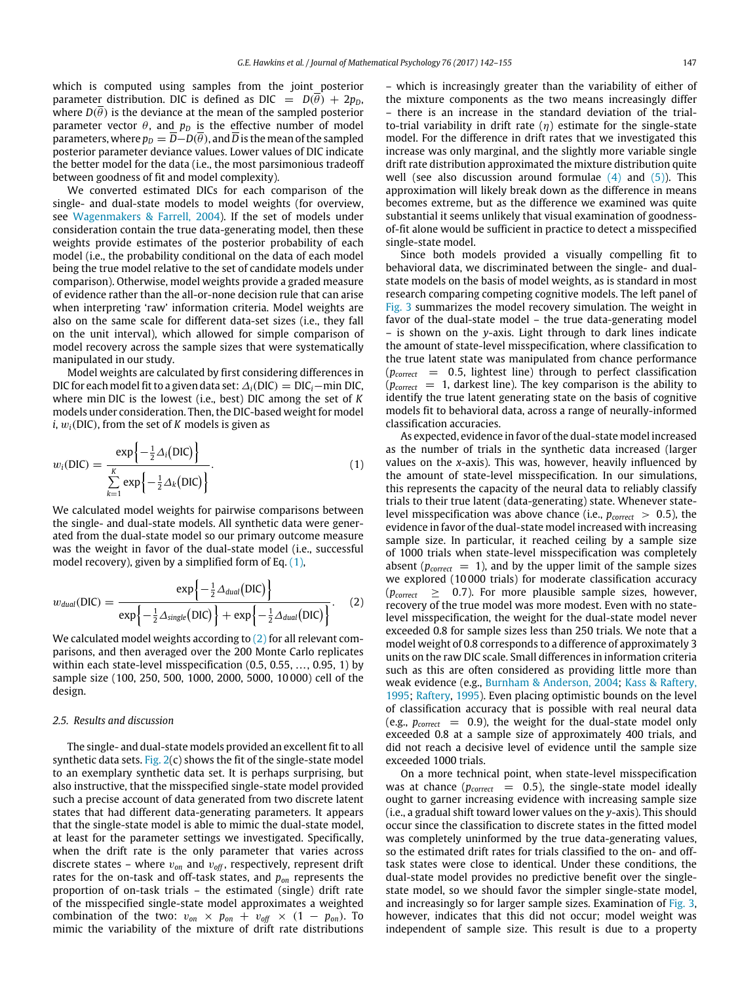which is computed using samples from the joint posterior parameter distribution. DIC is defined as DIC =  $D(\overline{\theta}) + 2p_D$ , where  $D(\overline{\theta})$  is the deviance at the mean of the sampled posterior parameter vector  $\theta$ , and  $p_D$  is the effective number of model parameters, where  $p_D = \overline{D} - D(\overline{\theta})$ , and  $\overline{D}$  is the mean of the sampled posterior parameter deviance values. Lower values of DIC indicate the better model for the data (i.e., the most parsimonious tradeoff between goodness of fit and model complexity).

We converted estimated DICs for each comparison of the single- and dual-state models to model weights (for overview, see [Wagenmakers](#page-13-28) [&](#page-13-28) [Farrell,](#page-13-28) [2004\)](#page-13-28). If the set of models under consideration contain the true data-generating model, then these weights provide estimates of the posterior probability of each model (i.e., the probability conditional on the data of each model being the true model relative to the set of candidate models under comparison). Otherwise, model weights provide a graded measure of evidence rather than the all-or-none decision rule that can arise when interpreting 'raw' information criteria. Model weights are also on the same scale for different data-set sizes (i.e., they fall on the unit interval), which allowed for simple comparison of model recovery across the sample sizes that were systematically manipulated in our study.

Model weights are calculated by first considering differences in DIC for each model fit to a given data set:∆*i*(DIC) = DIC*i*−min DIC, where min DIC is the lowest (i.e., best) DIC among the set of *K* models under consideration. Then, the DIC-based weight for model *i*, w*i*(DIC), from the set of *K* models is given as

$$
w_i(\text{DIC}) = \frac{\exp\left\{-\frac{1}{2}\Delta_i(\text{DIC})\right\}}{\sum_{k=1}^{K} \exp\left\{-\frac{1}{2}\Delta_k(\text{DIC})\right\}}.
$$
 (1)

We calculated model weights for pairwise comparisons between the single- and dual-state models. All synthetic data were generated from the dual-state model so our primary outcome measure was the weight in favor of the dual-state model (i.e., successful model recovery), given by a simplified form of Eq. [\(1\),](#page-5-0)

$$
w_{dual}(\text{DIC}) = \frac{\exp\left\{-\frac{1}{2}\Delta_{dual}(\text{DIC})\right\}}{\exp\left\{-\frac{1}{2}\Delta_{single}(\text{DIC})\right\} + \exp\left\{-\frac{1}{2}\Delta_{dual}(\text{DIC})\right\}}.
$$
 (2)

We calculated model weights according to [\(2\)](#page-5-1) for all relevant comparisons, and then averaged over the 200 Monte Carlo replicates within each state-level misspecification  $(0.5, 0.55, ..., 0.95, 1)$  by sample size (100, 250, 500, 1000, 2000, 5000, 10 000) cell of the design.

## *2.5. Results and discussion*

The single- and dual-state models provided an excellent fit to all synthetic data sets. Fig.  $2(c)$  shows the fit of the single-state model to an exemplary synthetic data set. It is perhaps surprising, but also instructive, that the misspecified single-state model provided such a precise account of data generated from two discrete latent states that had different data-generating parameters. It appears that the single-state model is able to mimic the dual-state model, at least for the parameter settings we investigated. Specifically, when the drift rate is the only parameter that varies across discrete states – where  $v_{on}$  and  $v_{off}$ , respectively, represent drift rates for the on-task and off-task states, and *pon* represents the proportion of on-task trials – the estimated (single) drift rate of the misspecified single-state model approximates a weighted combination of the two:  $v_{on} \times p_{on} + v_{off} \times (1 - p_{on})$ . To mimic the variability of the mixture of drift rate distributions – which is increasingly greater than the variability of either of the mixture components as the two means increasingly differ – there is an increase in the standard deviation of the trialto-trial variability in drift rate  $(\eta)$  estimate for the single-state model. For the difference in drift rates that we investigated this increase was only marginal, and the slightly more variable single drift rate distribution approximated the mixture distribution quite well (see also discussion around formulae [\(4\)](#page-7-0) and [\(5\)\)](#page-7-1). This approximation will likely break down as the difference in means becomes extreme, but as the difference we examined was quite substantial it seems unlikely that visual examination of goodnessof-fit alone would be sufficient in practice to detect a misspecified single-state model.

Since both models provided a visually compelling fit to behavioral data, we discriminated between the single- and dualstate models on the basis of model weights, as is standard in most research comparing competing cognitive models. The left panel of [Fig. 3](#page-6-0) summarizes the model recovery simulation. The weight in favor of the dual-state model – the true data-generating model – is shown on the *y*-axis. Light through to dark lines indicate the amount of state-level misspecification, where classification to the true latent state was manipulated from chance performance  $(p_{correct} = 0.5,$  lightest line) through to perfect classification  $(p_{correct} = 1,$  darkest line). The key comparison is the ability to identify the true latent generating state on the basis of cognitive models fit to behavioral data, across a range of neurally-informed classification accuracies.

<span id="page-5-1"></span><span id="page-5-0"></span>As expected, evidence in favor of the dual-state model increased as the number of trials in the synthetic data increased (larger values on the *x*-axis). This was, however, heavily influenced by the amount of state-level misspecification. In our simulations, this represents the capacity of the neural data to reliably classify trials to their true latent (data-generating) state. Whenever statelevel misspecification was above chance (i.e.,  $p_{correct} > 0.5$ ), the evidence in favor of the dual-state model increased with increasing sample size. In particular, it reached ceiling by a sample size of 1000 trials when state-level misspecification was completely absent ( $p_{correct} = 1$ ), and by the upper limit of the sample sizes we explored (10 000 trials) for moderate classification accuracy  $(p_{correct} \ge 0.7)$ . For more plausible sample sizes, however, recovery of the true model was more modest. Even with no statelevel misspecification, the weight for the dual-state model never exceeded 0.8 for sample sizes less than 250 trials. We note that a model weight of 0.8 corresponds to a difference of approximately 3 units on the raw DIC scale. Small differences in information criteria such as this are often considered as providing little more than weak evidence (e.g., [Burnham](#page-12-14) [&](#page-12-14) [Anderson,](#page-12-14) [2004;](#page-12-14) [Kass](#page-13-29) [&](#page-13-29) [Raftery,](#page-13-29) [1995;](#page-13-29) [Raftery,](#page-13-30) [1995\)](#page-13-30). Even placing optimistic bounds on the level of classification accuracy that is possible with real neural data (e.g.,  $p_{correct}$  = 0.9), the weight for the dual-state model only exceeded 0.8 at a sample size of approximately 400 trials, and did not reach a decisive level of evidence until the sample size exceeded 1000 trials.

On a more technical point, when state-level misspecification was at chance ( $p_{correct}$  = 0.5), the single-state model ideally ought to garner increasing evidence with increasing sample size (i.e., a gradual shift toward lower values on the *y*-axis). This should occur since the classification to discrete states in the fitted model was completely uninformed by the true data-generating values, so the estimated drift rates for trials classified to the on- and offtask states were close to identical. Under these conditions, the dual-state model provides no predictive benefit over the singlestate model, so we should favor the simpler single-state model, and increasingly so for larger sample sizes. Examination of [Fig. 3,](#page-6-0) however, indicates that this did not occur; model weight was independent of sample size. This result is due to a property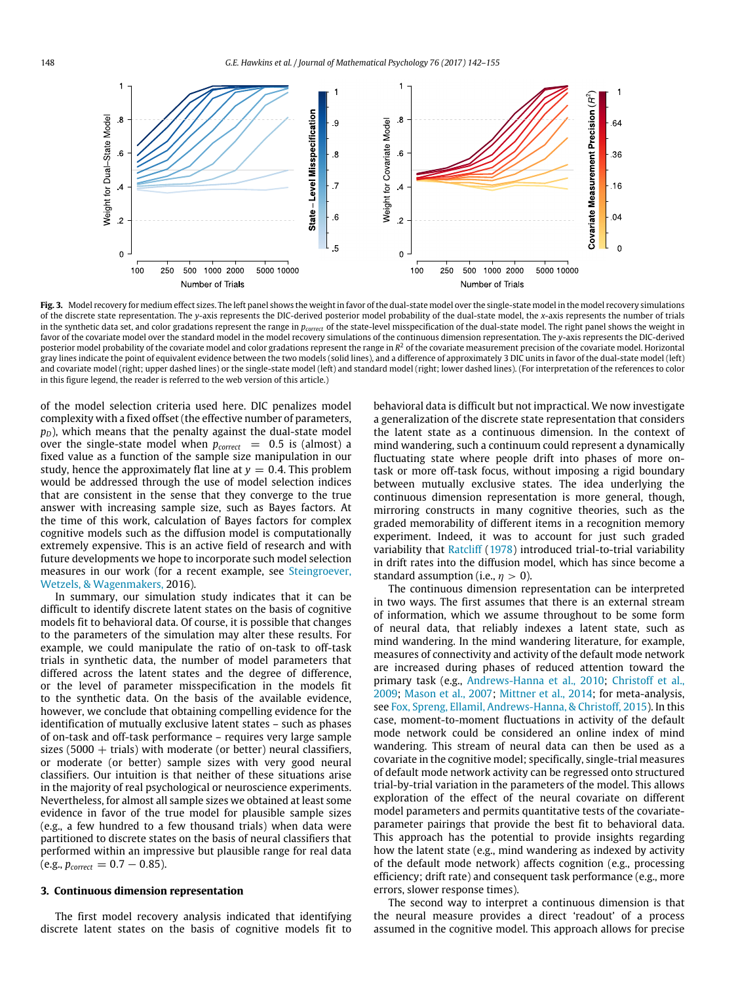<span id="page-6-0"></span>

**Fig. 3.** Model recovery for medium effect sizes. The left panel shows the weight in favor of the dual-state model over the single-state model in the model recovery simulations of the discrete state representation. The *y*-axis represents the DIC-derived posterior model probability of the dual-state model, the *x*-axis represents the number of trials in the synthetic data set, and color gradations represent the range in *pcorrect* of the state-level misspecification of the dual-state model. The right panel shows the weight in favor of the covariate model over the standard model in the model recovery simulations of the continuous dimension representation. The *y*-axis represents the DIC-derived posterior model probability of the covariate model and color gradations represent the range in  $R^2$  of the covariate measurement precision of the covariate model. Horizontal gray lines indicate the point of equivalent evidence between the two models (solid lines), and a difference of approximately 3 DIC units in favor of the dual-state model (left) and covariate model (right; upper dashed lines) or the single-state model (left) and standard model (right; lower dashed lines). (For interpretation of the references to color in this figure legend, the reader is referred to the web version of this article.)

of the model selection criteria used here. DIC penalizes model complexity with a fixed offset (the effective number of parameters, *pD*), which means that the penalty against the dual-state model over the single-state model when  $p_{correct}$  = 0.5 is (almost) a fixed value as a function of the sample size manipulation in our study, hence the approximately flat line at  $y = 0.4$ . This problem would be addressed through the use of model selection indices that are consistent in the sense that they converge to the true answer with increasing sample size, such as Bayes factors. At the time of this work, calculation of Bayes factors for complex cognitive models such as the diffusion model is computationally extremely expensive. This is an active field of research and with future developments we hope to incorporate such model selection measures in our work (for a recent example, see [Steingroever,](#page-13-31) [Wetzels,](#page-13-31) [&](#page-13-31) [Wagenmakers,](#page-13-31) 2016).

In summary, our simulation study indicates that it can be difficult to identify discrete latent states on the basis of cognitive models fit to behavioral data. Of course, it is possible that changes to the parameters of the simulation may alter these results. For example, we could manipulate the ratio of on-task to off-task trials in synthetic data, the number of model parameters that differed across the latent states and the degree of difference, or the level of parameter misspecification in the models fit to the synthetic data. On the basis of the available evidence, however, we conclude that obtaining compelling evidence for the identification of mutually exclusive latent states – such as phases of on-task and off-task performance – requires very large sample sizes (5000  $+$  trials) with moderate (or better) neural classifiers, or moderate (or better) sample sizes with very good neural classifiers. Our intuition is that neither of these situations arise in the majority of real psychological or neuroscience experiments. Nevertheless, for almost all sample sizes we obtained at least some evidence in favor of the true model for plausible sample sizes (e.g., a few hundred to a few thousand trials) when data were partitioned to discrete states on the basis of neural classifiers that performed within an impressive but plausible range for real data  $(e.g., p_{correct} = 0.7 - 0.85).$ 

## **3. Continuous dimension representation**

The first model recovery analysis indicated that identifying discrete latent states on the basis of cognitive models fit to behavioral data is difficult but not impractical. We now investigate a generalization of the discrete state representation that considers the latent state as a continuous dimension. In the context of mind wandering, such a continuum could represent a dynamically fluctuating state where people drift into phases of more ontask or more off-task focus, without imposing a rigid boundary between mutually exclusive states. The idea underlying the continuous dimension representation is more general, though, mirroring constructs in many cognitive theories, such as the graded memorability of different items in a recognition memory experiment. Indeed, it was to account for just such graded variability that [Ratcliff](#page-13-32) [\(1978\)](#page-13-32) introduced trial-to-trial variability in drift rates into the diffusion model, which has since become a standard assumption (i.e.,  $\eta > 0$ ).

The continuous dimension representation can be interpreted in two ways. The first assumes that there is an external stream of information, which we assume throughout to be some form of neural data, that reliably indexes a latent state, such as mind wandering. In the mind wandering literature, for example, measures of connectivity and activity of the default mode network are increased during phases of reduced attention toward the primary task (e.g., [Andrews-Hanna](#page-12-6) [et al.,](#page-12-6) [2010;](#page-12-6) [Christoff](#page-12-7) [et al.,](#page-12-7) [2009;](#page-12-7) [Mason](#page-13-33) [et al.,](#page-13-33) [2007;](#page-13-33) [Mittner](#page-13-10) [et al.,](#page-13-10) [2014;](#page-13-10) for meta-analysis, see [Fox,](#page-12-15) [Spreng,](#page-12-15) [Ellamil,](#page-12-15) [Andrews-Hanna,](#page-12-15) [&](#page-12-15) [Christoff,](#page-12-15) [2015\)](#page-12-15). In this case, moment-to-moment fluctuations in activity of the default mode network could be considered an online index of mind wandering. This stream of neural data can then be used as a covariate in the cognitive model; specifically, single-trial measures of default mode network activity can be regressed onto structured trial-by-trial variation in the parameters of the model. This allows exploration of the effect of the neural covariate on different model parameters and permits quantitative tests of the covariateparameter pairings that provide the best fit to behavioral data. This approach has the potential to provide insights regarding how the latent state (e.g., mind wandering as indexed by activity of the default mode network) affects cognition (e.g., processing efficiency; drift rate) and consequent task performance (e.g., more errors, slower response times).

The second way to interpret a continuous dimension is that the neural measure provides a direct 'readout' of a process assumed in the cognitive model. This approach allows for precise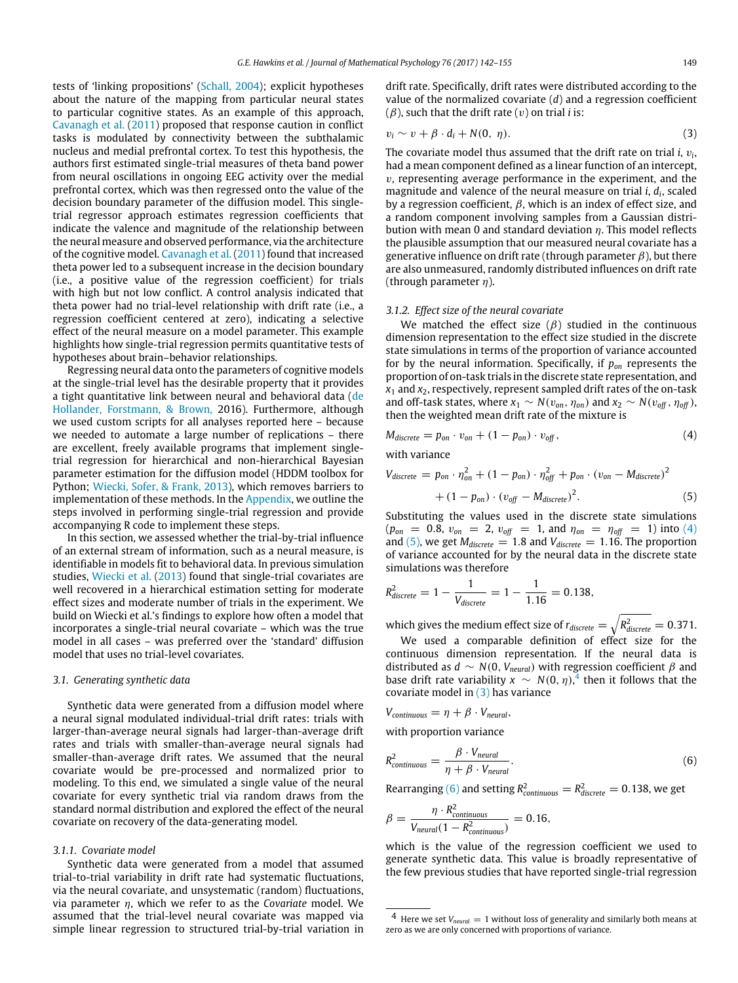tests of 'linking propositions' [\(Schall,](#page-13-34) [2004\)](#page-13-34); explicit hypotheses about the nature of the mapping from particular neural states to particular cognitive states. As an example of this approach, [Cavanagh](#page-12-9) [et al.](#page-12-9) [\(2011\)](#page-12-9) proposed that response caution in conflict tasks is modulated by connectivity between the subthalamic nucleus and medial prefrontal cortex. To test this hypothesis, the authors first estimated single-trial measures of theta band power from neural oscillations in ongoing EEG activity over the medial prefrontal cortex, which was then regressed onto the value of the decision boundary parameter of the diffusion model. This singletrial regressor approach estimates regression coefficients that indicate the valence and magnitude of the relationship between the neural measure and observed performance, via the architecture of the cognitive model. [Cavanagh](#page-12-9) [et al.](#page-12-9) [\(2011\)](#page-12-9) found that increased theta power led to a subsequent increase in the decision boundary (i.e., a positive value of the regression coefficient) for trials with high but not low conflict. A control analysis indicated that theta power had no trial-level relationship with drift rate (i.e., a regression coefficient centered at zero), indicating a selective effect of the neural measure on a model parameter. This example highlights how single-trial regression permits quantitative tests of hypotheses about brain–behavior relationships.

Regressing neural data onto the parameters of cognitive models at the single-trial level has the desirable property that it provides a tight quantitative link between neural and behavioral data [\(de](#page-12-16) [Hollander,](#page-12-16) [Forstmann,](#page-12-16) [&](#page-12-16) [Brown,](#page-12-16) 2016). Furthermore, although we used custom scripts for all analyses reported here – because we needed to automate a large number of replications – there are excellent, freely available programs that implement singletrial regression for hierarchical and non-hierarchical Bayesian parameter estimation for the diffusion model (HDDM toolbox for Python; [Wiecki,](#page-13-35) [Sofer,](#page-13-35) [&](#page-13-35) [Frank,](#page-13-35) [2013\)](#page-13-35), which removes barriers to implementation of these methods. In the [Appendix,](#page-10-0) we outline the steps involved in performing single-trial regression and provide accompanying R code to implement these steps.

In this section, we assessed whether the trial-by-trial influence of an external stream of information, such as a neural measure, is identifiable in models fit to behavioral data. In previous simulation studies, [Wiecki](#page-13-35) [et al.](#page-13-35) [\(2013\)](#page-13-35) found that single-trial covariates are well recovered in a hierarchical estimation setting for moderate effect sizes and moderate number of trials in the experiment. We build on Wiecki et al.'s findings to explore how often a model that incorporates a single-trial neural covariate – which was the true model in all cases – was preferred over the 'standard' diffusion model that uses no trial-level covariates.

## *3.1. Generating synthetic data*

Synthetic data were generated from a diffusion model where a neural signal modulated individual-trial drift rates: trials with larger-than-average neural signals had larger-than-average drift rates and trials with smaller-than-average neural signals had smaller-than-average drift rates. We assumed that the neural covariate would be pre-processed and normalized prior to modeling. To this end, we simulated a single value of the neural covariate for every synthetic trial via random draws from the standard normal distribution and explored the effect of the neural covariate on recovery of the data-generating model.

#### *3.1.1. Covariate model*

Synthetic data were generated from a model that assumed trial-to-trial variability in drift rate had systematic fluctuations, via the neural covariate, and unsystematic (random) fluctuations, via parameter η, which we refer to as the *Covariate* model. We assumed that the trial-level neural covariate was mapped via simple linear regression to structured trial-by-trial variation in drift rate. Specifically, drift rates were distributed according to the value of the normalized covariate (*d*) and a regression coefficient  $(\beta)$ , such that the drift rate  $(v)$  on trial *i* is:

<span id="page-7-3"></span>
$$
v_i \sim v + \beta \cdot d_i + N(0, \eta). \tag{3}
$$

The covariate model thus assumed that the drift rate on trial *i*, v*<sup>i</sup>* , had a mean component defined as a linear function of an intercept,  $v$ , representing average performance in the experiment, and the magnitude and valence of the neural measure on trial *i*, *d<sup>i</sup>* , scaled by a regression coefficient,  $\beta$ , which is an index of effect size, and a random component involving samples from a Gaussian distribution with mean 0 and standard deviation  $\eta$ . This model reflects the plausible assumption that our measured neural covariate has a generative influence on drift rate (through parameter  $\beta$ ), but there are also unmeasured, randomly distributed influences on drift rate (through parameter  $\eta$ ).

#### *3.1.2. Effect size of the neural covariate*

We matched the effect size  $(\beta)$  studied in the continuous dimension representation to the effect size studied in the discrete state simulations in terms of the proportion of variance accounted for by the neural information. Specifically, if *pon* represents the proportion of on-task trials in the discrete state representation, and  $x_1$  and  $x_2$ , respectively, represent sampled drift rates of the on-task and off-task states, where  $x_1 \sim N(v_{on}, \eta_{on})$  and  $x_2 \sim N(v_{off}, \eta_{off})$ , then the weighted mean drift rate of the mixture is

<span id="page-7-0"></span>
$$
M_{discrete} = p_{on} \cdot v_{on} + (1 - p_{on}) \cdot v_{off}, \qquad (4)
$$

with variance

<span id="page-7-1"></span>
$$
V_{discrete} = p_{on} \cdot \eta_{on}^2 + (1 - p_{on}) \cdot \eta_{off}^2 + p_{on} \cdot (v_{on} - M_{discrete})^2
$$
  
+ 
$$
(1 - p_{on}) \cdot (v_{off} - M_{discrete})^2.
$$
 (5)

Substituting the values used in the discrete state simulations  $(p_{on} = 0.8, v_{on} = 2, v_{off} = 1,$  and  $\eta_{on} = \eta_{off} = 1$ ) into [\(4\)](#page-7-0) and [\(5\),](#page-7-1) we get  $M_{discrete} = 1.8$  and  $V_{discrete} = 1.16$ . The proportion of variance accounted for by the neural data in the discrete state simulations was therefore

$$
R_{discrete}^2 = 1 - \frac{1}{V_{discrete}} = 1 - \frac{1}{1.16} = 0.138,
$$

which gives the medium effect size of  $r_{discrete} = \sqrt{R_{discrete}^2} = 0.371$ .

We used a comparable definition of effect size for the continuous dimension representation. If the neural data is distributed as  $d \sim N(0, V_{neural})$  with regression coefficient  $\beta$  and base drift rate variability  $x \sim N(0, \eta)$ ,<sup>[4](#page-7-2)</sup> then it follows that the covariate model in [\(3\)](#page-7-3) has variance

$$
V_{continuous} = \eta + \beta \cdot V_{neural},
$$

<span id="page-7-4"></span>with proportion variance

$$
R_{continuous}^{2} = \frac{\beta \cdot V_{neural}}{\eta + \beta \cdot V_{neural}}.
$$
\n(6)

Rearranging [\(6\)](#page-7-4) and setting  $R_{continuous}^2 = R_{discrete}^2 = 0.138$ , we get

$$
\beta = \frac{\eta \cdot R_{continuous}^2}{V_{neural}(1 - R_{continuous}^2)} = 0.16,
$$

which is the value of the regression coefficient we used to generate synthetic data. This value is broadly representative of the few previous studies that have reported single-trial regression

<span id="page-7-2"></span> $4$  Here we set  $V_{\text{neural}} = 1$  without loss of generality and similarly both means at zero as we are only concerned with proportions of variance.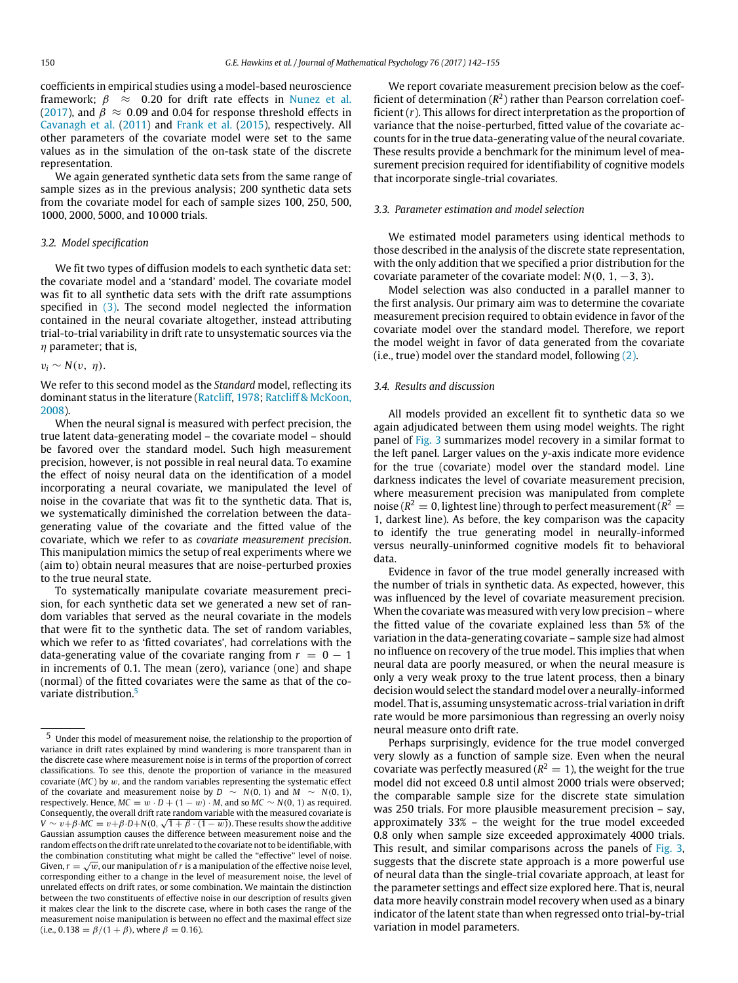coefficients in empirical studies using a model-based neuroscience framework;  $\beta \approx 0.20$  for drift rate effects in [Nunez](#page-13-16) [et al.](#page-13-16) [\(2017\)](#page-13-16), and  $\beta \approx 0.09$  and 0.04 for response threshold effects in [Cavanagh](#page-12-9) [et al.](#page-12-9) [\(2011\)](#page-12-9) and [Frank](#page-12-10) [et al.](#page-12-10) [\(2015\)](#page-12-10), respectively. All other parameters of the covariate model were set to the same values as in the simulation of the on-task state of the discrete representation.

We again generated synthetic data sets from the same range of sample sizes as in the previous analysis; 200 synthetic data sets from the covariate model for each of sample sizes 100, 250, 500, 1000, 2000, 5000, and 10 000 trials.

## *3.2. Model specification*

We fit two types of diffusion models to each synthetic data set: the covariate model and a 'standard' model. The covariate model was fit to all synthetic data sets with the drift rate assumptions specified in [\(3\).](#page-7-3) The second model neglected the information contained in the neural covariate altogether, instead attributing trial-to-trial variability in drift rate to unsystematic sources via the  $\eta$  parameter; that is,

 $v_i \sim N(v, \eta)$ .

We refer to this second model as the *Standard* model, reflecting its dominant status in the literature [\(Ratcliff,](#page-13-32) [1978;](#page-13-32) [Ratcliff](#page-13-17) [&](#page-13-17) [McKoon,](#page-13-17) [2008\)](#page-13-17).

When the neural signal is measured with perfect precision, the true latent data-generating model – the covariate model – should be favored over the standard model. Such high measurement precision, however, is not possible in real neural data. To examine the effect of noisy neural data on the identification of a model incorporating a neural covariate, we manipulated the level of noise in the covariate that was fit to the synthetic data. That is, we systematically diminished the correlation between the datagenerating value of the covariate and the fitted value of the covariate, which we refer to as *covariate measurement precision*. This manipulation mimics the setup of real experiments where we (aim to) obtain neural measures that are noise-perturbed proxies to the true neural state.

To systematically manipulate covariate measurement precision, for each synthetic data set we generated a new set of random variables that served as the neural covariate in the models that were fit to the synthetic data. The set of random variables, which we refer to as 'fitted covariates', had correlations with the data-generating value of the covariate ranging from  $r = 0 - 1$ in increments of 0.1. The mean (zero), variance (one) and shape (normal) of the fitted covariates were the same as that of the co-variate distribution.<sup>[5](#page-8-0)</sup>

We report covariate measurement precision below as the coefficient of determination  $(R^2)$  rather than Pearson correlation coefficient (*r*). This allows for direct interpretation as the proportion of variance that the noise-perturbed, fitted value of the covariate accounts for in the true data-generating value of the neural covariate. These results provide a benchmark for the minimum level of measurement precision required for identifiability of cognitive models that incorporate single-trial covariates.

## *3.3. Parameter estimation and model selection*

We estimated model parameters using identical methods to those described in the analysis of the discrete state representation, with the only addition that we specified a prior distribution for the covariate parameter of the covariate model:  $N(0, 1, -3, 3)$ .

Model selection was also conducted in a parallel manner to the first analysis. Our primary aim was to determine the covariate measurement precision required to obtain evidence in favor of the covariate model over the standard model. Therefore, we report the model weight in favor of data generated from the covariate (i.e., true) model over the standard model, following [\(2\).](#page-5-1)

#### *3.4. Results and discussion*

All models provided an excellent fit to synthetic data so we again adjudicated between them using model weights. The right panel of [Fig. 3](#page-6-0) summarizes model recovery in a similar format to the left panel. Larger values on the *y*-axis indicate more evidence for the true (covariate) model over the standard model. Line darkness indicates the level of covariate measurement precision, where measurement precision was manipulated from complete noise ( $R^2 = 0$ , lightest line) through to perfect measurement ( $R^2 = 0$ 1, darkest line). As before, the key comparison was the capacity to identify the true generating model in neurally-informed versus neurally-uninformed cognitive models fit to behavioral data.

Evidence in favor of the true model generally increased with the number of trials in synthetic data. As expected, however, this was influenced by the level of covariate measurement precision. When the covariate was measured with very low precision – where the fitted value of the covariate explained less than 5% of the variation in the data-generating covariate – sample size had almost no influence on recovery of the true model. This implies that when neural data are poorly measured, or when the neural measure is only a very weak proxy to the true latent process, then a binary decision would select the standard model over a neurally-informed model. That is, assuming unsystematic across-trial variation in drift rate would be more parsimonious than regressing an overly noisy neural measure onto drift rate.

Perhaps surprisingly, evidence for the true model converged very slowly as a function of sample size. Even when the neural covariate was perfectly measured ( $R^2 = 1$ ), the weight for the true model did not exceed 0.8 until almost 2000 trials were observed; the comparable sample size for the discrete state simulation was 250 trials. For more plausible measurement precision – say, approximately 33% – the weight for the true model exceeded 0.8 only when sample size exceeded approximately 4000 trials. This result, and similar comparisons across the panels of [Fig. 3,](#page-6-0) suggests that the discrete state approach is a more powerful use of neural data than the single-trial covariate approach, at least for the parameter settings and effect size explored here. That is, neural data more heavily constrain model recovery when used as a binary indicator of the latent state than when regressed onto trial-by-trial variation in model parameters.

<span id="page-8-0"></span><sup>5</sup> Under this model of measurement noise, the relationship to the proportion of variance in drift rates explained by mind wandering is more transparent than in the discrete case where measurement noise is in terms of the proportion of correct classifications. To see this, denote the proportion of variance in the measured covariate  $(MC)$  by  $w$ , and the random variables representing the systematic effect of the covariate and measurement noise by  $D \sim N(0, 1)$  and  $M \sim N(0, 1)$ , respectively. Hence,  $MC = w \cdot D + (1 - w) \cdot M$ , and so  $MC \sim N(0, 1)$  as required. Consequently, the overall drift rate random variable with the measured covariate is √  $V \sim v + \beta \cdot MC = v + \beta \cdot D + N(0, \sqrt{1 + \beta \cdot (1 - w)})$ . These results show the additive Gaussian assumption causes the difference between measurement noise and the random effects on the drift rate unrelated to the covariate not to be identifiable, with the combination constituting what might be called the ''effective'' level of noise. √ Given,  $r=\sqrt{w}$ , our manipulation of  $r$  is a manipulation of the effective noise level, corresponding either to a change in the level of measurement noise, the level of unrelated effects on drift rates, or some combination. We maintain the distinction between the two constituents of effective noise in our description of results given it makes clear the link to the discrete case, where in both cases the range of the measurement noise manipulation is between no effect and the maximal effect size (i.e., 0.138 =  $\beta/(1 + \beta)$ , where  $\beta = 0.16$ ).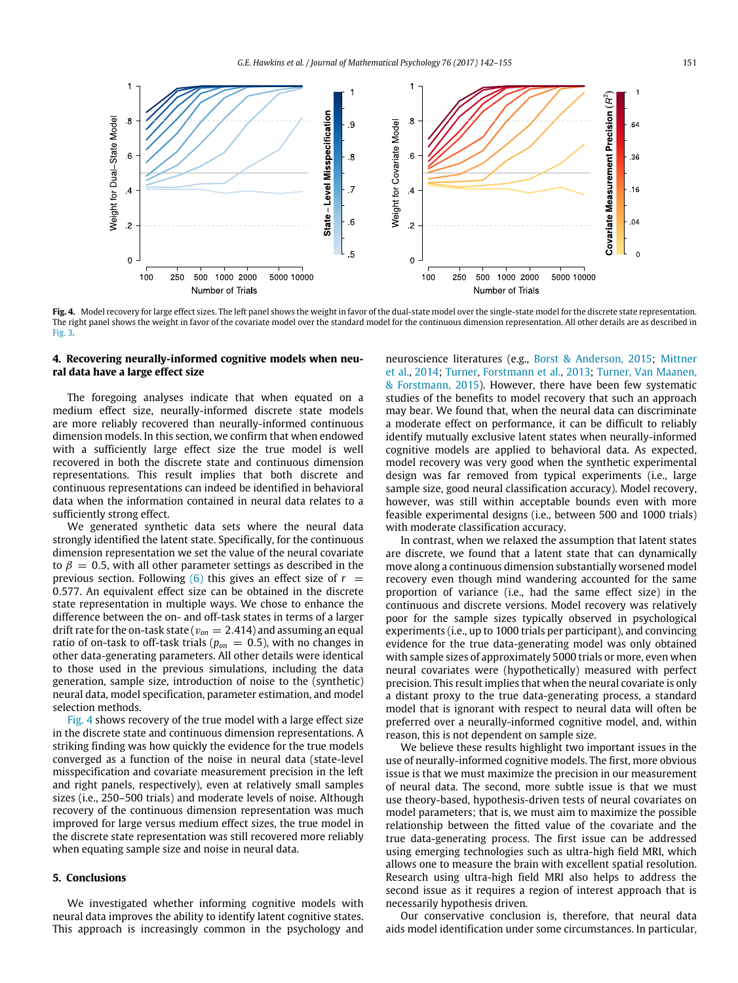<span id="page-9-0"></span>

Fig. 4. Model recovery for large effect sizes. The left panel shows the weight in favor of the dual-state model over the single-state model for the discrete state representation. The right panel shows the weight in favor of the covariate model over the standard model for the continuous dimension representation. All other details are as described in [Fig. 3.](#page-6-0)

### **4. Recovering neurally-informed cognitive models when neural data have a large effect size**

The foregoing analyses indicate that when equated on a medium effect size, neurally-informed discrete state models are more reliably recovered than neurally-informed continuous dimension models. In this section, we confirm that when endowed with a sufficiently large effect size the true model is well recovered in both the discrete state and continuous dimension representations. This result implies that both discrete and continuous representations can indeed be identified in behavioral data when the information contained in neural data relates to a sufficiently strong effect.

We generated synthetic data sets where the neural data strongly identified the latent state. Specifically, for the continuous dimension representation we set the value of the neural covariate to  $\beta = 0.5$ , with all other parameter settings as described in the previous section. Following  $(6)$  this gives an effect size of  $r =$ 0.577. An equivalent effect size can be obtained in the discrete state representation in multiple ways. We chose to enhance the difference between the on- and off-task states in terms of a larger drift rate for the on-task state ( $v_{on} = 2.414$ ) and assuming an equal ratio of on-task to off-task trials ( $p_{on} = 0.5$ ), with no changes in other data-generating parameters. All other details were identical to those used in the previous simulations, including the data generation, sample size, introduction of noise to the (synthetic) neural data, model specification, parameter estimation, and model selection methods.

[Fig. 4](#page-9-0) shows recovery of the true model with a large effect size in the discrete state and continuous dimension representations. A striking finding was how quickly the evidence for the true models converged as a function of the noise in neural data (state-level misspecification and covariate measurement precision in the left and right panels, respectively), even at relatively small samples sizes (i.e., 250–500 trials) and moderate levels of noise. Although recovery of the continuous dimension representation was much improved for large versus medium effect sizes, the true model in the discrete state representation was still recovered more reliably when equating sample size and noise in neural data.

## **5. Conclusions**

We investigated whether informing cognitive models with neural data improves the ability to identify latent cognitive states. This approach is increasingly common in the psychology and neuroscience literatures (e.g., [Borst](#page-12-8) [&](#page-12-8) [Anderson,](#page-12-8) [2015;](#page-12-8) [Mittner](#page-13-10) [et al.,](#page-13-10) [2014;](#page-13-10) [Turner,](#page-13-8) [Forstmann](#page-13-8) [et al.,](#page-13-8) [2013;](#page-13-8) [Turner,](#page-13-36) [Van](#page-13-36) [Maanen,](#page-13-36) [&](#page-13-36) [Forstmann,](#page-13-36) [2015\)](#page-13-36). However, there have been few systematic studies of the benefits to model recovery that such an approach may bear. We found that, when the neural data can discriminate a moderate effect on performance, it can be difficult to reliably identify mutually exclusive latent states when neurally-informed cognitive models are applied to behavioral data. As expected, model recovery was very good when the synthetic experimental design was far removed from typical experiments (i.e., large sample size, good neural classification accuracy). Model recovery, however, was still within acceptable bounds even with more feasible experimental designs (i.e., between 500 and 1000 trials) with moderate classification accuracy.

In contrast, when we relaxed the assumption that latent states are discrete, we found that a latent state that can dynamically move along a continuous dimension substantially worsened model recovery even though mind wandering accounted for the same proportion of variance (i.e., had the same effect size) in the continuous and discrete versions. Model recovery was relatively poor for the sample sizes typically observed in psychological experiments (i.e., up to 1000 trials per participant), and convincing evidence for the true data-generating model was only obtained with sample sizes of approximately 5000 trials or more, even when neural covariates were (hypothetically) measured with perfect precision. This result implies that when the neural covariate is only a distant proxy to the true data-generating process, a standard model that is ignorant with respect to neural data will often be preferred over a neurally-informed cognitive model, and, within reason, this is not dependent on sample size.

We believe these results highlight two important issues in the use of neurally-informed cognitive models. The first, more obvious issue is that we must maximize the precision in our measurement of neural data. The second, more subtle issue is that we must use theory-based, hypothesis-driven tests of neural covariates on model parameters; that is, we must aim to maximize the possible relationship between the fitted value of the covariate and the true data-generating process. The first issue can be addressed using emerging technologies such as ultra-high field MRI, which allows one to measure the brain with excellent spatial resolution. Research using ultra-high field MRI also helps to address the second issue as it requires a region of interest approach that is necessarily hypothesis driven.

Our conservative conclusion is, therefore, that neural data aids model identification under some circumstances. In particular,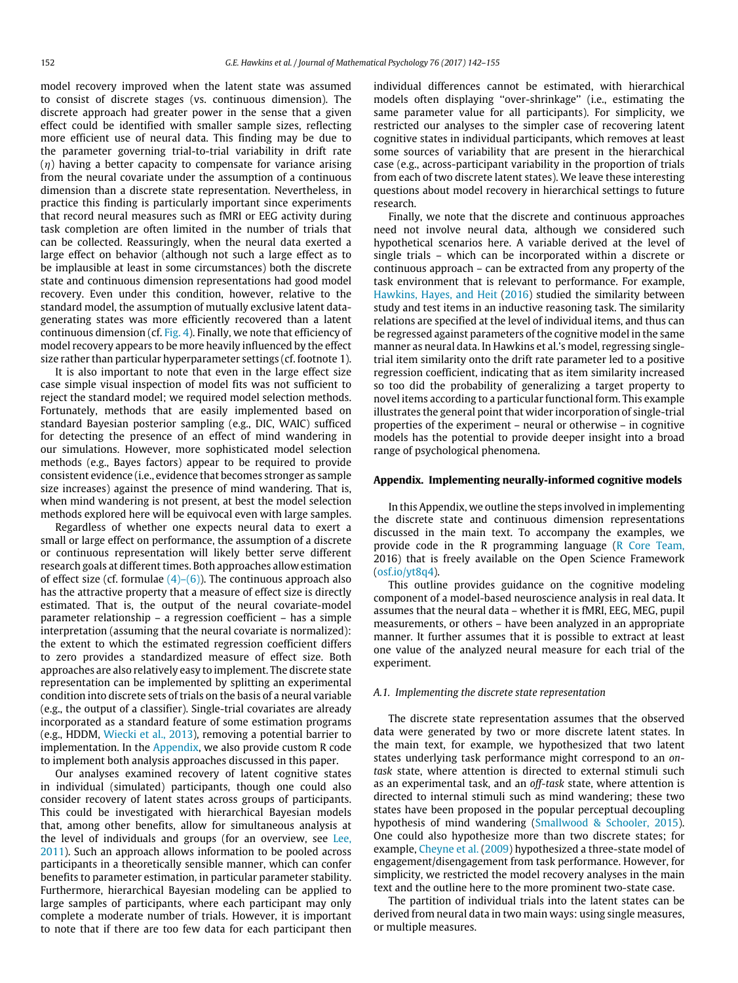model recovery improved when the latent state was assumed to consist of discrete stages (vs. continuous dimension). The discrete approach had greater power in the sense that a given effect could be identified with smaller sample sizes, reflecting more efficient use of neural data. This finding may be due to the parameter governing trial-to-trial variability in drift rate  $(n)$  having a better capacity to compensate for variance arising from the neural covariate under the assumption of a continuous dimension than a discrete state representation. Nevertheless, in practice this finding is particularly important since experiments that record neural measures such as fMRI or EEG activity during task completion are often limited in the number of trials that can be collected. Reassuringly, when the neural data exerted a large effect on behavior (although not such a large effect as to be implausible at least in some circumstances) both the discrete state and continuous dimension representations had good model recovery. Even under this condition, however, relative to the standard model, the assumption of mutually exclusive latent datagenerating states was more efficiently recovered than a latent continuous dimension (cf. [Fig. 4\)](#page-9-0). Finally, we note that efficiency of model recovery appears to be more heavily influenced by the effect size rather than particular hyperparameter settings (cf. footnote 1).

It is also important to note that even in the large effect size case simple visual inspection of model fits was not sufficient to reject the standard model; we required model selection methods. Fortunately, methods that are easily implemented based on standard Bayesian posterior sampling (e.g., DIC, WAIC) sufficed for detecting the presence of an effect of mind wandering in our simulations. However, more sophisticated model selection methods (e.g., Bayes factors) appear to be required to provide consistent evidence (i.e., evidence that becomes stronger as sample size increases) against the presence of mind wandering. That is, when mind wandering is not present, at best the model selection methods explored here will be equivocal even with large samples.

Regardless of whether one expects neural data to exert a small or large effect on performance, the assumption of a discrete or continuous representation will likely better serve different research goals at different times. Both approaches allow estimation of effect size (cf. formulae  $(4)$ – $(6)$ ). The continuous approach also has the attractive property that a measure of effect size is directly estimated. That is, the output of the neural covariate-model parameter relationship – a regression coefficient – has a simple interpretation (assuming that the neural covariate is normalized): the extent to which the estimated regression coefficient differs to zero provides a standardized measure of effect size. Both approaches are also relatively easy to implement. The discrete state representation can be implemented by splitting an experimental condition into discrete sets of trials on the basis of a neural variable (e.g., the output of a classifier). Single-trial covariates are already incorporated as a standard feature of some estimation programs (e.g., HDDM, [Wiecki](#page-13-35) [et al.,](#page-13-35) [2013\)](#page-13-35), removing a potential barrier to implementation. In the [Appendix,](#page-10-0) we also provide custom R code to implement both analysis approaches discussed in this paper.

Our analyses examined recovery of latent cognitive states in individual (simulated) participants, though one could also consider recovery of latent states across groups of participants. This could be investigated with hierarchical Bayesian models that, among other benefits, allow for simultaneous analysis at the level of individuals and groups (for an overview, see [Lee,](#page-13-37) [2011\)](#page-13-37). Such an approach allows information to be pooled across participants in a theoretically sensible manner, which can confer benefits to parameter estimation, in particular parameter stability. Furthermore, hierarchical Bayesian modeling can be applied to large samples of participants, where each participant may only complete a moderate number of trials. However, it is important to note that if there are too few data for each participant then individual differences cannot be estimated, with hierarchical models often displaying ''over-shrinkage'' (i.e., estimating the same parameter value for all participants). For simplicity, we restricted our analyses to the simpler case of recovering latent cognitive states in individual participants, which removes at least some sources of variability that are present in the hierarchical case (e.g., across-participant variability in the proportion of trials from each of two discrete latent states). We leave these interesting questions about model recovery in hierarchical settings to future research.

Finally, we note that the discrete and continuous approaches need not involve neural data, although we considered such hypothetical scenarios here. A variable derived at the level of single trials – which can be incorporated within a discrete or continuous approach – can be extracted from any property of the task environment that is relevant to performance. For example, [Hawkins,](#page-12-17) [Hayes,](#page-12-17) [and](#page-12-17) [Heit](#page-12-17) [\(2016\)](#page-12-17) studied the similarity between study and test items in an inductive reasoning task. The similarity relations are specified at the level of individual items, and thus can be regressed against parameters of the cognitive model in the same manner as neural data. In Hawkins et al.'s model, regressing singletrial item similarity onto the drift rate parameter led to a positive regression coefficient, indicating that as item similarity increased so too did the probability of generalizing a target property to novel items according to a particular functional form. This example illustrates the general point that wider incorporation of single-trial properties of the experiment – neural or otherwise – in cognitive models has the potential to provide deeper insight into a broad range of psychological phenomena.

#### <span id="page-10-0"></span>**Appendix. Implementing neurally-informed cognitive models**

In this Appendix, we outline the steps involved in implementing the discrete state and continuous dimension representations discussed in the main text. To accompany the examples, we provide code in the R programming language [\(R](#page-13-24) [Core](#page-13-24) [Team,](#page-13-24) 2016) that is freely available on the Open Science Framework [\(osf.io/yt8q4\)](http://osf.io/yt8q4).

This outline provides guidance on the cognitive modeling component of a model-based neuroscience analysis in real data. It assumes that the neural data – whether it is fMRI, EEG, MEG, pupil measurements, or others – have been analyzed in an appropriate manner. It further assumes that it is possible to extract at least one value of the analyzed neural measure for each trial of the experiment.

#### *A.1. Implementing the discrete state representation*

The discrete state representation assumes that the observed data were generated by two or more discrete latent states. In the main text, for example, we hypothesized that two latent states underlying task performance might correspond to an *ontask* state, where attention is directed to external stimuli such as an experimental task, and an *off-task* state, where attention is directed to internal stimuli such as mind wandering; these two states have been proposed in the popular perceptual decoupling hypothesis of mind wandering [\(Smallwood](#page-13-5) [&](#page-13-5) [Schooler,](#page-13-5) [2015\)](#page-13-5). One could also hypothesize more than two discrete states; for example, [Cheyne](#page-12-5) [et al.](#page-12-5) [\(2009\)](#page-12-5) hypothesized a three-state model of engagement/disengagement from task performance. However, for simplicity, we restricted the model recovery analyses in the main text and the outline here to the more prominent two-state case.

The partition of individual trials into the latent states can be derived from neural data in two main ways: using single measures, or multiple measures.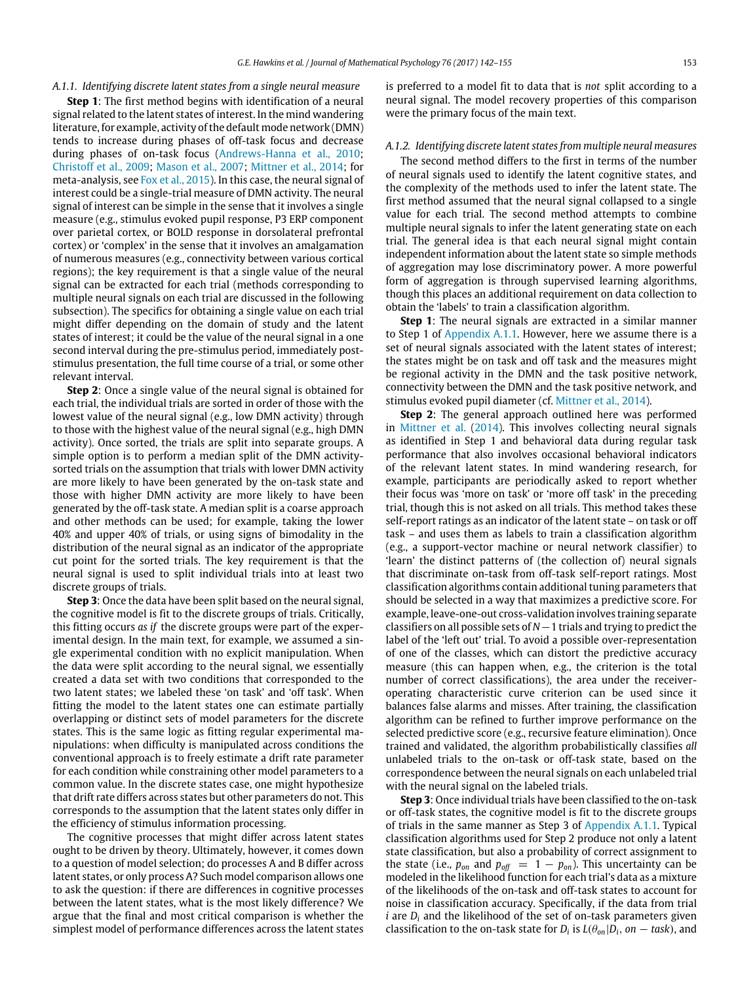#### <span id="page-11-0"></span>*A.1.1. Identifying discrete latent states from a single neural measure*

**Step 1**: The first method begins with identification of a neural signal related to the latent states of interest. In the mind wandering literature, for example, activity of the default mode network (DMN) tends to increase during phases of off-task focus and decrease during phases of on-task focus [\(Andrews-Hanna](#page-12-6) [et al.,](#page-12-6) [2010;](#page-12-6) [Christoff](#page-12-7) [et al.,](#page-12-7) [2009;](#page-12-7) [Mason](#page-13-33) [et al.,](#page-13-33) [2007;](#page-13-33) [Mittner](#page-13-10) [et al.,](#page-13-10) [2014;](#page-13-10) for meta-analysis, see [Fox](#page-12-15) [et al.,](#page-12-15) [2015\)](#page-12-15). In this case, the neural signal of interest could be a single-trial measure of DMN activity. The neural signal of interest can be simple in the sense that it involves a single measure (e.g., stimulus evoked pupil response, P3 ERP component over parietal cortex, or BOLD response in dorsolateral prefrontal cortex) or 'complex' in the sense that it involves an amalgamation of numerous measures (e.g., connectivity between various cortical regions); the key requirement is that a single value of the neural signal can be extracted for each trial (methods corresponding to multiple neural signals on each trial are discussed in the following subsection). The specifics for obtaining a single value on each trial might differ depending on the domain of study and the latent states of interest; it could be the value of the neural signal in a one second interval during the pre-stimulus period, immediately poststimulus presentation, the full time course of a trial, or some other relevant interval.

**Step 2**: Once a single value of the neural signal is obtained for each trial, the individual trials are sorted in order of those with the lowest value of the neural signal (e.g., low DMN activity) through to those with the highest value of the neural signal (e.g., high DMN activity). Once sorted, the trials are split into separate groups. A simple option is to perform a median split of the DMN activitysorted trials on the assumption that trials with lower DMN activity are more likely to have been generated by the on-task state and those with higher DMN activity are more likely to have been generated by the off-task state. A median split is a coarse approach and other methods can be used; for example, taking the lower 40% and upper 40% of trials, or using signs of bimodality in the distribution of the neural signal as an indicator of the appropriate cut point for the sorted trials. The key requirement is that the neural signal is used to split individual trials into at least two discrete groups of trials.

**Step 3**: Once the data have been split based on the neural signal, the cognitive model is fit to the discrete groups of trials. Critically, this fitting occurs *as if* the discrete groups were part of the experimental design. In the main text, for example, we assumed a single experimental condition with no explicit manipulation. When the data were split according to the neural signal, we essentially created a data set with two conditions that corresponded to the two latent states; we labeled these 'on task' and 'off task'. When fitting the model to the latent states one can estimate partially overlapping or distinct sets of model parameters for the discrete states. This is the same logic as fitting regular experimental manipulations: when difficulty is manipulated across conditions the conventional approach is to freely estimate a drift rate parameter for each condition while constraining other model parameters to a common value. In the discrete states case, one might hypothesize that drift rate differs across states but other parameters do not. This corresponds to the assumption that the latent states only differ in the efficiency of stimulus information processing.

The cognitive processes that might differ across latent states ought to be driven by theory. Ultimately, however, it comes down to a question of model selection; do processes A and B differ across latent states, or only process A? Such model comparison allows one to ask the question: if there are differences in cognitive processes between the latent states, what is the most likely difference? We argue that the final and most critical comparison is whether the simplest model of performance differences across the latent states is preferred to a model fit to data that is *not* split according to a neural signal. The model recovery properties of this comparison were the primary focus of the main text.

## *A.1.2. Identifying discrete latent states from multiple neural measures*

The second method differs to the first in terms of the number of neural signals used to identify the latent cognitive states, and the complexity of the methods used to infer the latent state. The first method assumed that the neural signal collapsed to a single value for each trial. The second method attempts to combine multiple neural signals to infer the latent generating state on each trial. The general idea is that each neural signal might contain independent information about the latent state so simple methods of aggregation may lose discriminatory power. A more powerful form of aggregation is through supervised learning algorithms, though this places an additional requirement on data collection to obtain the 'labels' to train a classification algorithm.

**Step 1**: The neural signals are extracted in a similar manner to Step 1 of [Appendix A.1.1.](#page-11-0) However, here we assume there is a set of neural signals associated with the latent states of interest; the states might be on task and off task and the measures might be regional activity in the DMN and the task positive network, connectivity between the DMN and the task positive network, and stimulus evoked pupil diameter (cf. [Mittner](#page-13-10) [et al.,](#page-13-10) [2014\)](#page-13-10).

**Step 2**: The general approach outlined here was performed in [Mittner](#page-13-10) [et al.](#page-13-10) [\(2014\)](#page-13-10). This involves collecting neural signals as identified in Step 1 and behavioral data during regular task performance that also involves occasional behavioral indicators of the relevant latent states. In mind wandering research, for example, participants are periodically asked to report whether their focus was 'more on task' or 'more off task' in the preceding trial, though this is not asked on all trials. This method takes these self-report ratings as an indicator of the latent state – on task or off task – and uses them as labels to train a classification algorithm (e.g., a support-vector machine or neural network classifier) to 'learn' the distinct patterns of (the collection of) neural signals that discriminate on-task from off-task self-report ratings. Most classification algorithms contain additional tuning parameters that should be selected in a way that maximizes a predictive score. For example, leave-one-out cross-validation involves training separate classifiers on all possible sets of *N*−1 trials and trying to predict the label of the 'left out' trial. To avoid a possible over-representation of one of the classes, which can distort the predictive accuracy measure (this can happen when, e.g., the criterion is the total number of correct classifications), the area under the receiveroperating characteristic curve criterion can be used since it balances false alarms and misses. After training, the classification algorithm can be refined to further improve performance on the selected predictive score (e.g., recursive feature elimination). Once trained and validated, the algorithm probabilistically classifies *all* unlabeled trials to the on-task or off-task state, based on the correspondence between the neural signals on each unlabeled trial with the neural signal on the labeled trials.

**Step 3**: Once individual trials have been classified to the on-task or off-task states, the cognitive model is fit to the discrete groups of trials in the same manner as Step 3 of [Appendix A.1.1.](#page-11-0) Typical classification algorithms used for Step 2 produce not only a latent state classification, but also a probability of correct assignment to the state (i.e.,  $p_{on}$  and  $p_{off}$  = 1 –  $p_{on}$ ). This uncertainty can be modeled in the likelihood function for each trial's data as a mixture of the likelihoods of the on-task and off-task states to account for noise in classification accuracy. Specifically, if the data from trial *i* are *D<sup>i</sup>* and the likelihood of the set of on-task parameters given classification to the on-task state for  $D_i$  is  $L(\theta_{on}|D_i, on - task)$ , and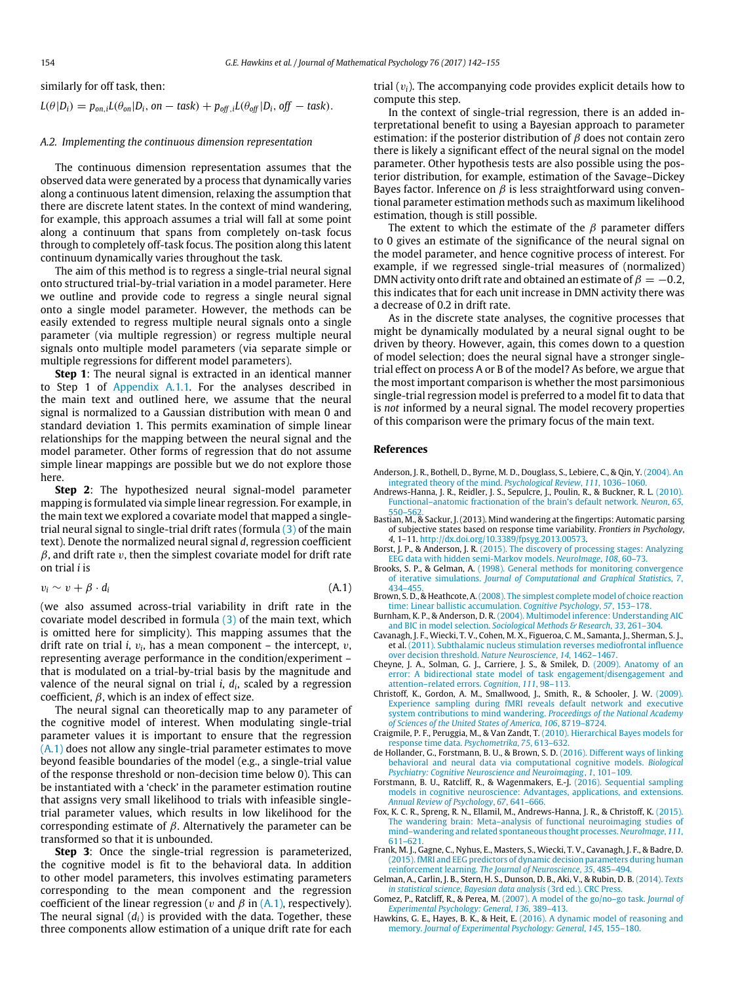similarly for off task, then:

$$
L(\theta|D_i) = p_{on,i}L(\theta_{on}|D_i, \text{ on } -\text{ task}) + p_{off,i}L(\theta_{off}|D_i, \text{ off } -\text{ task}).
$$

#### *A.2. Implementing the continuous dimension representation*

The continuous dimension representation assumes that the observed data were generated by a process that dynamically varies along a continuous latent dimension, relaxing the assumption that there are discrete latent states. In the context of mind wandering, for example, this approach assumes a trial will fall at some point along a continuum that spans from completely on-task focus through to completely off-task focus. The position along this latent continuum dynamically varies throughout the task.

The aim of this method is to regress a single-trial neural signal onto structured trial-by-trial variation in a model parameter. Here we outline and provide code to regress a single neural signal onto a single model parameter. However, the methods can be easily extended to regress multiple neural signals onto a single parameter (via multiple regression) or regress multiple neural signals onto multiple model parameters (via separate simple or multiple regressions for different model parameters).

**Step 1**: The neural signal is extracted in an identical manner to Step 1 of [Appendix A.1.1.](#page-11-0) For the analyses described in the main text and outlined here, we assume that the neural signal is normalized to a Gaussian distribution with mean 0 and standard deviation 1. This permits examination of simple linear relationships for the mapping between the neural signal and the model parameter. Other forms of regression that do not assume simple linear mappings are possible but we do not explore those here.

**Step 2**: The hypothesized neural signal-model parameter mapping is formulated via simple linear regression. For example, in the main text we explored a covariate model that mapped a singletrial neural signal to single-trial drift rates (formula  $(3)$  of the main text). Denote the normalized neural signal *d*, regression coefficient  $\beta$ , and drift rate v, then the simplest covariate model for drift rate on trial *i* is

$$
v_i \sim v + \beta \cdot d_i \tag{A.1}
$$

(we also assumed across-trial variability in drift rate in the covariate model described in formula  $(3)$  of the main text, which is omitted here for simplicity). This mapping assumes that the drift rate on trial  $i$ ,  $v_i$ , has a mean component – the intercept,  $v$ , representing average performance in the condition/experiment – that is modulated on a trial-by-trial basis by the magnitude and valence of the neural signal on trial *i*, *d<sup>i</sup>* , scaled by a regression coefficient,  $\beta$ , which is an index of effect size.

The neural signal can theoretically map to any parameter of the cognitive model of interest. When modulating single-trial parameter values it is important to ensure that the regression [\(A.1\)](#page-12-18) does not allow any single-trial parameter estimates to move beyond feasible boundaries of the model (e.g., a single-trial value of the response threshold or non-decision time below 0). This can be instantiated with a 'check' in the parameter estimation routine that assigns very small likelihood to trials with infeasible singletrial parameter values, which results in low likelihood for the corresponding estimate of  $β$ . Alternatively the parameter can be transformed so that it is unbounded.

**Step 3**: Once the single-trial regression is parameterized, the cognitive model is fit to the behavioral data. In addition to other model parameters, this involves estimating parameters corresponding to the mean component and the regression coefficient of the linear regression (v and  $\beta$  in (A, 1), respectively). The neural signal (*di*) is provided with the data. Together, these three components allow estimation of a unique drift rate for each trial (v*i*). The accompanying code provides explicit details how to compute this step.

In the context of single-trial regression, there is an added interpretational benefit to using a Bayesian approach to parameter estimation: if the posterior distribution of  $\beta$  does not contain zero there is likely a significant effect of the neural signal on the model parameter. Other hypothesis tests are also possible using the posterior distribution, for example, estimation of the Savage–Dickey Bayes factor. Inference on  $\beta$  is less straightforward using conventional parameter estimation methods such as maximum likelihood estimation, though is still possible.

The extent to which the estimate of the  $\beta$  parameter differs to 0 gives an estimate of the significance of the neural signal on the model parameter, and hence cognitive process of interest. For example, if we regressed single-trial measures of (normalized) DMN activity onto drift rate and obtained an estimate of  $\beta = -0.2$ , this indicates that for each unit increase in DMN activity there was a decrease of 0.2 in drift rate.

As in the discrete state analyses, the cognitive processes that might be dynamically modulated by a neural signal ought to be driven by theory. However, again, this comes down to a question of model selection; does the neural signal have a stronger singletrial effect on process A or B of the model? As before, we argue that the most important comparison is whether the most parsimonious single-trial regression model is preferred to a model fit to data that is *not* informed by a neural signal. The model recovery properties of this comparison were the primary focus of the main text.

## **References**

- <span id="page-12-0"></span>Anders[on, J. R., Bothell, D., Byrne, M. D., Douglass, S., Lebiere, C., & Qin, Y.](http://refhub.elsevier.com/S0022-2496(16)30046-3/sbref1) (2004). An integrated theory of the mind. *Psychological Review*, *111*, 1036–1060.
- <span id="page-12-6"></span>Andre[ws-Hanna, J. R., Reidler, J. S., Sepulcre, J., Poulin, R., & Buckner, R. L.](http://refhub.elsevier.com/S0022-2496(16)30046-3/sbref2) (2010). Functional–anatomic fractionation of the brain's default network. *Neuron*, *65*,
- <span id="page-12-4"></span>550–562. Bastian, M., & Sackur, J.(2013). Mind wandering at the fingertips: Automatic parsing of subjective states based on response time variability. *Frontiers in Psychology*, *4*, 1–11. [http://dx.doi.org/10.3389/fpsyg.2013.00573.](http://dx.doi.org/10.3389/fpsyg.2013.00573)
- <span id="page-12-8"></span>Borst, J. P., & Anderson, J. R. [\(2015\). The discovery of processing stages: Analyzing](http://refhub.elsevier.com/S0022-2496(16)30046-3/sbref4) EEG data with hidden semi-Markov models. *NeuroImage*, *108*, 60–73.
- <span id="page-12-12"></span>Brooks, S. P., & Gelman, A. [\(1998\). General methods for monitoring convergence](http://refhub.elsevier.com/S0022-2496(16)30046-3/sbref5) of iterative simulations. *Journal of Computational and Graphical Statistics*, *7*, 434–455.
- <span id="page-12-18"></span><span id="page-12-1"></span>Brown, [S. D., & Heathcote, A.\(2008\). The simplest complete model of choice reaction](http://refhub.elsevier.com/S0022-2496(16)30046-3/sbref6) time: Linear ballistic accumulation. *Cognitive Psychology*, *57*, 153–178.
- <span id="page-12-14"></span>Burnham, K. P., & Anderson, D. R. [\(2004\). Multimodel inference: Understanding AIC](http://refhub.elsevier.com/S0022-2496(16)30046-3/sbref7) and BIC in model selection. *Sociological Methods & Research*, *33*, 261–304.
- <span id="page-12-9"></span>Cavana[gh, J. F., Wiecki, T. V., Cohen, M. X., Figueroa, C. M., Samanta, J., Sherman, S. J.,](http://refhub.elsevier.com/S0022-2496(16)30046-3/sbref8) et al. (2011). Subthalamic nucleus stimulation reverses mediofrontal influence over decision threshold. *Nature Neuroscience*, *14*, 1462–1467.
- <span id="page-12-5"></span>Cheyne, J. A., Solman, G. J., Carriere, J. S., & Smilek, D. (2009). Anatomy of an err[or: A bidirectional state model of task engagement/disengagement and](http://refhub.elsevier.com/S0022-2496(16)30046-3/sbref9) attention–related errors. *Cognition*, *111*, 98–113.
- <span id="page-12-7"></span>Christoff, K., Gordon, A. M., Smallwood, J., Smith, R., & Schooler, J. W. (2009). Ex[perience sampling during fMRI reveals default network and executive](http://refhub.elsevier.com/S0022-2496(16)30046-3/sbref10) system contributions to mind wandering. *Proceedings of the National Academy of Sciences of the United States of America*, *106*, 8719–8724.
- <span id="page-12-3"></span>Craigmile, P. F., Peruggia, M., & Van Zandt, T. [\(2010\). Hierarchical Bayes models for](http://refhub.elsevier.com/S0022-2496(16)30046-3/sbref11) response time data. *Psychometrika*, *75*, 613–632.
- <span id="page-12-16"></span>de Hollander, G., Forstmann, B. U., & Brown, S. D. (2016). Different ways of linking beh[avioral and neural data via computational cognitive models.](http://refhub.elsevier.com/S0022-2496(16)30046-3/sbref12) *Biological Psychiatry: Cognitive Neuroscience and Neuroimaging*, *1*, 101–109.
- <span id="page-12-2"></span>Forstmann, B. U., Ratcliff, R., & Wagenmakers, E.-J. (2016). Sequential sampling mo[dels in cognitive neuroscience: Advantages, applications, and extensions.](http://refhub.elsevier.com/S0022-2496(16)30046-3/sbref13) *Annual Review of Psychology*, *67*, 641–666.
- <span id="page-12-15"></span>Fox, K. C. R., Spreng, R. N., Ellamil, M., Andrews-Hanna, J. R., & Christoff, K. (2015). The [wandering brain: Meta–analysis of functional neuroimaging studies of](http://refhub.elsevier.com/S0022-2496(16)30046-3/sbref14) mind–wandering and related spontaneous thought processes. *NeuroImage*, *111*, 611–621.
- <span id="page-12-10"></span>Frank, [M. J., Gagne, C., Nyhus, E., Masters, S., Wiecki, T. V., Cavanagh, J. F., & Badre, D.](http://refhub.elsevier.com/S0022-2496(16)30046-3/sbref15) (2015). fMRI and EEG predictors of dynamic decision parameters during human reinforcement learning. *The Journal of Neuroscience*, *35*, 485–494.
- <span id="page-12-13"></span>Gelma[n, A., Carlin, J. B., Stern, H. S., Dunson, D. B., Aki, V., & Rubin, D. B.](http://refhub.elsevier.com/S0022-2496(16)30046-3/sbref16) (2014). *Texts in statistical science*, *Bayesian data analysis* (3rd ed.). CRC Press.
- <span id="page-12-11"></span>Gomez, P., Ratcliff, R., & Perea, M. [\(2007\). A model of the go/no–go task.](http://refhub.elsevier.com/S0022-2496(16)30046-3/sbref17) *Journal of Experimental Psychology: General*, *136*, 389–413.
- <span id="page-12-17"></span>Hawkins, G. E., Hayes, B. K., & Heit, E. [\(2016\). A dynamic model of reasoning and](http://refhub.elsevier.com/S0022-2496(16)30046-3/sbref18) memory. *Journal of Experimental Psychology: General*, *145*, 155–180.